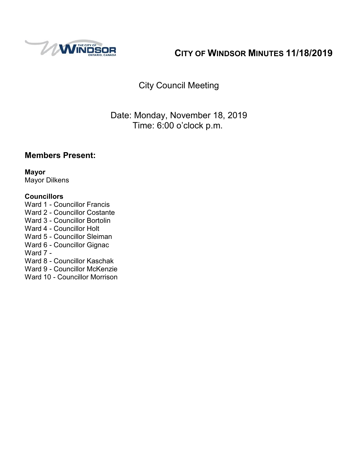

# **CITY OF WINDSOR MINUTES 11/18/2019**

# City Council Meeting

# Date: Monday, November 18, 2019 Time: 6:00 o'clock p.m.

# **Members Present:**

**Mayor**

Mayor Dilkens

#### **Councillors**

- Ward 1 Councillor Francis
- Ward 2 Councillor Costante
- Ward 3 Councillor Bortolin
- Ward 4 Councillor Holt
- Ward 5 Councillor Sleiman
- Ward 6 Councillor Gignac
- Ward 7 -
- Ward 8 Councillor Kaschak
- Ward 9 Councillor McKenzie
- Ward 10 Councillor Morrison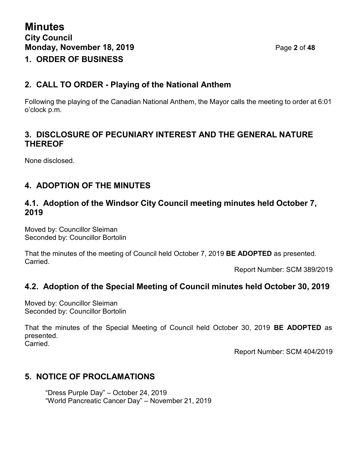# **2. CALL TO ORDER - Playing of the National Anthem**

Following the playing of the Canadian National Anthem, the Mayor calls the meeting to order at 6:01 o'clock p.m.

# **3. DISCLOSURE OF PECUNIARY INTEREST AND THE GENERAL NATURE THEREOF**

None disclosed.

# **4. ADOPTION OF THE MINUTES**

#### **4.1. Adoption of the Windsor City Council meeting minutes held October 7, 2019**

Moved by: Councillor Sleiman Seconded by: Councillor Bortolin

That the minutes of the meeting of Council held October 7, 2019 **BE ADOPTED** as presented. **Carried** 

Report Number: SCM 389/2019

## **4.2. Adoption of the Special Meeting of Council minutes held October 30, 2019**

Moved by: Councillor Sleiman Seconded by: Councillor Bortolin

That the minutes of the Special Meeting of Council held October 30, 2019 **BE ADOPTED** as presented. Carried.

Report Number: SCM 404/2019

#### **5. NOTICE OF PROCLAMATIONS**

"Dress Purple Day" – October 24, 2019 "World Pancreatic Cancer Day" – November 21, 2019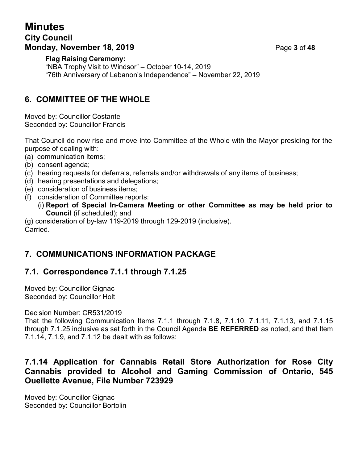# **Minutes City Council Monday, November 18, 2019** Page **3** of **48**

**Flag Raising Ceremony:** "NBA Trophy Visit to Windsor" – October 10-14, 2019 "76th Anniversary of Lebanon's Independence" – November 22, 2019

# **6. COMMITTEE OF THE WHOLE**

Moved by: Councillor Costante Seconded by: Councillor Francis

That Council do now rise and move into Committee of the Whole with the Mayor presiding for the purpose of dealing with:

(a) communication items;

- (b) consent agenda;
- (c) hearing requests for deferrals, referrals and/or withdrawals of any items of business;
- (d) hearing presentations and delegations;
- (e) consideration of business items;
- (f) consideration of Committee reports:
	- (i) **Report of Special In-Camera Meeting or other Committee as may be held prior to Council** (if scheduled); and

(g) consideration of by-law 119-2019 through 129-2019 (inclusive). Carried.

## **7. COMMUNICATIONS INFORMATION PACKAGE**

## **7.1. Correspondence 7.1.1 through 7.1.25**

Moved by: Councillor Gignac Seconded by: Councillor Holt

Decision Number: CR531/2019

That the following Communication Items 7.1.1 through 7.1.8, 7.1.10, 7.1.11, 7.1.13, and 7.1.15 through 7.1.25 inclusive as set forth in the Council Agenda **BE REFERRED** as noted, and that Item 7.1.14, 7.1.9, and 7.1.12 be dealt with as follows:

## **7.1.14 Application for Cannabis Retail Store Authorization for Rose City Cannabis provided to Alcohol and Gaming Commission of Ontario, 545 Ouellette Avenue, File Number 723929**

Moved by: Councillor Gignac Seconded by: Councillor Bortolin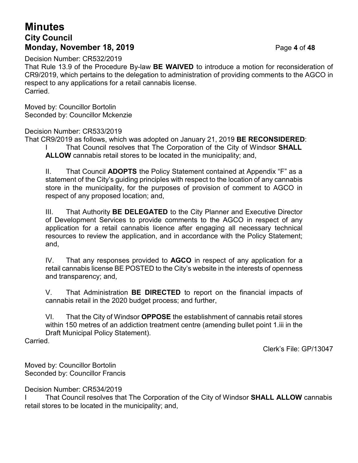# **Minutes City Council Monday, November 18, 2019** Page **4** of **48**

Decision Number: CR532/2019

That Rule 13.9 of the Procedure By-law **BE WAIVED** to introduce a motion for reconsideration of CR9/2019, which pertains to the delegation to administration of providing comments to the AGCO in respect to any applications for a retail cannabis license. Carried.

Moved by: Councillor Bortolin Seconded by: Councillor Mckenzie

#### Decision Number: CR533/2019

That CR9/2019 as follows, which was adopted on January 21, 2019 **BE RECONSIDERED**:

I That Council resolves that The Corporation of the City of Windsor **SHALL ALLOW** cannabis retail stores to be located in the municipality; and,

II. That Council **ADOPTS** the Policy Statement contained at Appendix "F" as a statement of the City's guiding principles with respect to the location of any cannabis store in the municipality, for the purposes of provision of comment to AGCO in respect of any proposed location; and,

III. That Authority **BE DELEGATED** to the City Planner and Executive Director of Development Services to provide comments to the AGCO in respect of any application for a retail cannabis licence after engaging all necessary technical resources to review the application, and in accordance with the Policy Statement; and,

IV. That any responses provided to **AGCO** in respect of any application for a retail cannabis license BE POSTED to the City's website in the interests of openness and transparency; and,

V. That Administration **BE DIRECTED** to report on the financial impacts of cannabis retail in the 2020 budget process; and further,

VI. That the City of Windsor **OPPOSE** the establishment of cannabis retail stores within 150 metres of an addiction treatment centre (amending bullet point 1.iii in the Draft Municipal Policy Statement).

Carried.

Clerk's File: GP/13047

Moved by: Councillor Bortolin Seconded by: Councillor Francis

Decision Number: CR534/2019

I That Council resolves that The Corporation of the City of Windsor **SHALL ALLOW** cannabis retail stores to be located in the municipality; and,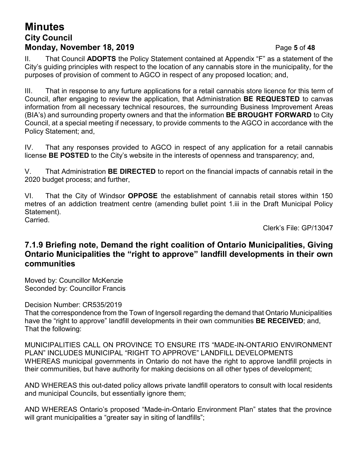# **Minutes City Council Monday, November 18, 2019** Page **5** of **48**

II. That Council **ADOPTS** the Policy Statement contained at Appendix "F" as a statement of the City's guiding principles with respect to the location of any cannabis store in the municipality, for the purposes of provision of comment to AGCO in respect of any proposed location; and,

III. That in response to any furture applications for a retail cannabis store licence for this term of Council, after engaging to review the application, that Administration **BE REQUESTED** to canvas information from all necessary technical resources, the surrounding Business Improvement Areas (BIA's) and surrounding property owners and that the information **BE BROUGHT FORWARD** to City Council, at a special meeting if necessary, to provide comments to the AGCO in accordance with the Policy Statement; and,

IV. That any responses provided to AGCO in respect of any application for a retail cannabis license **BE POSTED** to the City's website in the interests of openness and transparency; and,

V. That Administration **BE DIRECTED** to report on the financial impacts of cannabis retail in the 2020 budget process; and further,

VI. That the City of Windsor **OPPOSE** the establishment of cannabis retail stores within 150 metres of an addiction treatment centre (amending bullet point 1.iii in the Draft Municipal Policy Statement).

Carried.

Clerk's File: GP/13047

## **7.1.9 Briefing note, Demand the right coalition of Ontario Municipalities, Giving Ontario Municipalities the "right to approve" landfill developments in their own communities**

Moved by: Councillor McKenzie Seconded by: Councillor Francis

Decision Number: CR535/2019

That the correspondence from the Town of Ingersoll regarding the demand that Ontario Municipalities have the "right to approve" landfill developments in their own communities **BE RECEIVED**; and, That the following:

MUNICIPALITIES CALL ON PROVINCE TO ENSURE ITS "MADE-IN-ONTARIO ENVIRONMENT PLAN" INCLUDES MUNICIPAL "RIGHT TO APPROVE" LANDFILL DEVELOPMENTS WHEREAS municipal governments in Ontario do not have the right to approve landfill projects in their communities, but have authority for making decisions on all other types of development;

AND WHEREAS this out-dated policy allows private landfill operators to consult with local residents and municipal Councils, but essentially ignore them;

AND WHEREAS Ontario's proposed "Made-in-Ontario Environment Plan" states that the province will grant municipalities a "greater say in siting of landfills";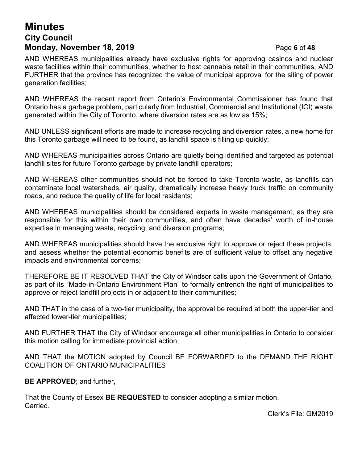# **Minutes City Council Monday, November 18, 2019** Page **6** of **48**

AND WHEREAS municipalities already have exclusive rights for approving casinos and nuclear waste facilities within their communities, whether to host cannabis retail in their communities, AND FURTHER that the province has recognized the value of municipal approval for the siting of power generation facilities;

AND WHEREAS the recent report from Ontario's Environmental Commissioner has found that Ontario has a garbage problem, particularly from Industrial, Commercial and Institutional (ICI) waste generated within the City of Toronto, where diversion rates are as low as 15%;

AND UNLESS significant efforts are made to increase recycling and diversion rates, a new home for this Toronto garbage will need to be found, as landfill space is filling up quickly;

AND WHEREAS municipalities across Ontario are quietly being identified and targeted as potential landfill sites for future Toronto garbage by private landfill operators;

AND WHEREAS other communities should not be forced to take Toronto waste, as landfills can contaminate local watersheds, air quality, dramatically increase heavy truck traffic on community roads, and reduce the quality of life for local residents;

AND WHEREAS municipalities should be considered experts in waste management, as they are responsible for this within their own communities, and often have decades' worth of in-house expertise in managing waste, recycling, and diversion programs;

AND WHEREAS municipalities should have the exclusive right to approve or reject these projects, and assess whether the potential economic benefits are of sufficient value to offset any negative impacts and environmental concerns;

THEREFORE BE IT RESOLVED THAT the City of Windsor calls upon the Government of Ontario, as part of its "Made-in-Ontario Environment Plan" to formally entrench the right of municipalities to approve or reject landfill projects in or adjacent to their communities;

AND THAT in the case of a two-tier municipality, the approval be required at both the upper-tier and affected lower-tier municipalities;

AND FURTHER THAT the City of Windsor encourage all other municipalities in Ontario to consider this motion calling for immediate provincial action;

AND THAT the MOTION adopted by Council BE FORWARDED to the DEMAND THE RIGHT COALITION OF ONTARIO MUNICIPALITIES

**BE APPROVED**; and further,

That the County of Essex **BE REQUESTED** to consider adopting a similar motion. Carried.

Clerk's File: GM2019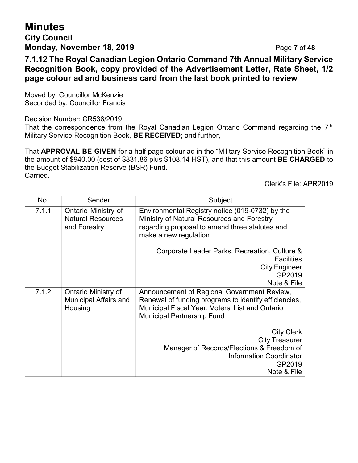# **Minutes**

# **City Council Monday, November 18, 2019** Page **7** of **48**

**7.1.12 The Royal Canadian Legion Ontario Command 7th Annual Military Service Recognition Book, copy provided of the Advertisement Letter, Rate Sheet, 1/2 page colour ad and business card from the last book printed to review**

Moved by: Councillor McKenzie Seconded by: Councillor Francis

Decision Number: CR536/2019

That the correspondence from the Royal Canadian Legion Ontario Command regarding the  $7<sup>th</sup>$ Military Service Recognition Book, **BE RECEIVED**; and further,

That **APPROVAL BE GIVEN** for a half page colour ad in the "Military Service Recognition Book" in the amount of \$940.00 (cost of \$831.86 plus \$108.14 HST), and that this amount **BE CHARGED** to the Budget Stabilization Reserve (BSR) Fund. Carried.

Clerk's File: APR2019

| No.   | Sender                                                          | Subject                                                                                                                                                                                      |
|-------|-----------------------------------------------------------------|----------------------------------------------------------------------------------------------------------------------------------------------------------------------------------------------|
| 7.1.1 | Ontario Ministry of<br><b>Natural Resources</b><br>and Forestry | Environmental Registry notice (019-0732) by the<br>Ministry of Natural Resources and Forestry<br>regarding proposal to amend three statutes and<br>make a new regulation                     |
|       |                                                                 | Corporate Leader Parks, Recreation, Culture &<br><b>Facilities</b><br><b>City Engineer</b><br>GP2019<br>Note & File                                                                          |
| 7.1.2 | Ontario Ministry of<br><b>Municipal Affairs and</b><br>Housing  | Announcement of Regional Government Review,<br>Renewal of funding programs to identify efficiencies,<br>Municipal Fiscal Year, Voters' List and Ontario<br><b>Municipal Partnership Fund</b> |
|       |                                                                 | <b>City Clerk</b><br><b>City Treasurer</b><br>Manager of Records/Elections & Freedom of<br><b>Information Coordinator</b><br>GP2019<br>Note & File                                           |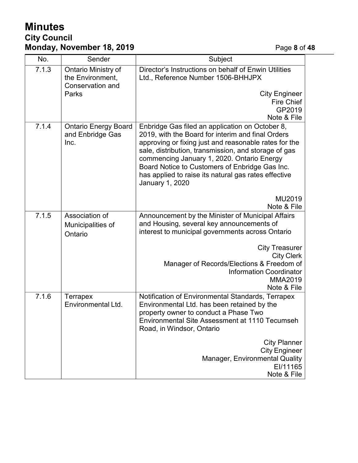# **Minutes City Council Monday, November 18, 2019** Page **8** of **48**

| No.   | Sender                                                      | Subject                                                                                                                                                                                                                                                                                                                                                                                          |
|-------|-------------------------------------------------------------|--------------------------------------------------------------------------------------------------------------------------------------------------------------------------------------------------------------------------------------------------------------------------------------------------------------------------------------------------------------------------------------------------|
| 7.1.3 | Ontario Ministry of<br>the Environment,<br>Conservation and | Director's Instructions on behalf of Enwin Utilities<br>Ltd., Reference Number 1506-BHHJPX                                                                                                                                                                                                                                                                                                       |
|       | Parks                                                       | <b>City Engineer</b><br><b>Fire Chief</b><br>GP2019<br>Note & File                                                                                                                                                                                                                                                                                                                               |
| 7.1.4 | <b>Ontario Energy Board</b><br>and Enbridge Gas<br>Inc.     | Enbridge Gas filed an application on October 8,<br>2019, with the Board for interim and final Orders<br>approving or fixing just and reasonable rates for the<br>sale, distribution, transmission, and storage of gas<br>commencing January 1, 2020. Ontario Energy<br>Board Notice to Customers of Enbridge Gas Inc.<br>has applied to raise its natural gas rates effective<br>January 1, 2020 |
|       |                                                             | MU2019<br>Note & File                                                                                                                                                                                                                                                                                                                                                                            |
| 7.1.5 | Association of<br>Municipalities of<br>Ontario              | Announcement by the Minister of Municipal Affairs<br>and Housing, several key announcements of<br>interest to municipal governments across Ontario                                                                                                                                                                                                                                               |
|       |                                                             | <b>City Treasurer</b><br><b>City Clerk</b><br>Manager of Records/Elections & Freedom of<br><b>Information Coordinator</b><br><b>MMA2019</b><br>Note & File                                                                                                                                                                                                                                       |
| 7.1.6 | <b>Terrapex</b><br>Environmental Ltd.                       | Notification of Environmental Standards, Terrapex<br>Environmental Ltd. has been retained by the<br>property owner to conduct a Phase Two<br>Environmental Site Assessment at 1110 Tecumseh<br>Road, in Windsor, Ontario                                                                                                                                                                         |
|       |                                                             | <b>City Planner</b><br><b>City Engineer</b><br><b>Manager, Environmental Quality</b><br>EI/11165<br>Note & File                                                                                                                                                                                                                                                                                  |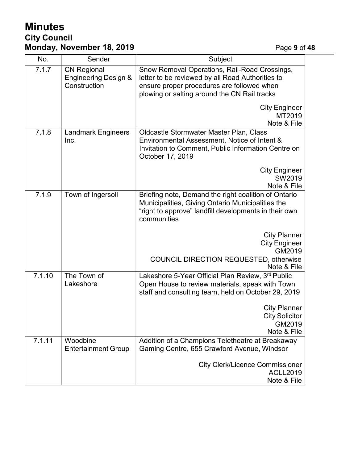# **Minutes City Council Monday, November 18, 2019** Page **9** of **48**

| No.    | Sender                                                                | Subject                                                                                                                                                                                         |  |
|--------|-----------------------------------------------------------------------|-------------------------------------------------------------------------------------------------------------------------------------------------------------------------------------------------|--|
| 7.1.7  | <b>CN Regional</b><br><b>Engineering Design &amp;</b><br>Construction | Snow Removal Operations, Rail-Road Crossings,<br>letter to be reviewed by all Road Authorities to<br>ensure proper procedures are followed when<br>plowing or salting around the CN Rail tracks |  |
|        |                                                                       | <b>City Engineer</b><br>MT2019<br>Note & File                                                                                                                                                   |  |
| 7.1.8  | <b>Landmark Engineers</b><br>Inc.                                     | <b>Oldcastle Stormwater Master Plan, Class</b><br>Environmental Assessment, Notice of Intent &<br>Invitation to Comment, Public Information Centre on<br>October 17, 2019                       |  |
|        |                                                                       | <b>City Engineer</b><br>SW2019<br>Note & File                                                                                                                                                   |  |
| 7.1.9  | Town of Ingersoll                                                     | Briefing note, Demand the right coalition of Ontario<br>Municipalities, Giving Ontario Municipalities the<br>"right to approve" landfill developments in their own<br>communities               |  |
|        |                                                                       | <b>City Planner</b><br><b>City Engineer</b><br>GM2019                                                                                                                                           |  |
|        |                                                                       | COUNCIL DIRECTION REQUESTED, otherwise<br>Note & File                                                                                                                                           |  |
| 7.1.10 | The Town of<br>Lakeshore                                              | Lakeshore 5-Year Official Plan Review, 3rd Public<br>Open House to review materials, speak with Town<br>staff and consulting team, held on October 29, 2019                                     |  |
|        |                                                                       | <b>City Planner</b><br><b>City Solicitor</b><br>GM2019<br>Note & File                                                                                                                           |  |
| 7.1.11 | Woodbine<br><b>Entertainment Group</b>                                | Addition of a Champions Teletheatre at Breakaway<br>Gaming Centre, 655 Crawford Avenue, Windsor                                                                                                 |  |
|        |                                                                       | <b>City Clerk/Licence Commissioner</b><br><b>ACLL2019</b><br>Note & File                                                                                                                        |  |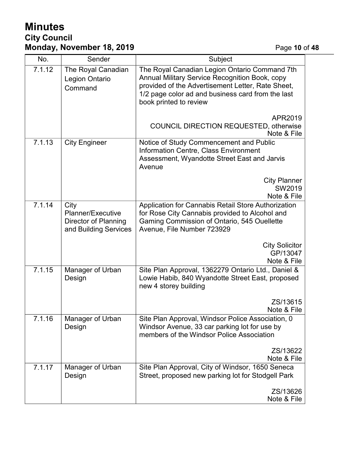# **Minutes City Council Monday, November 18, 2019** Page **10** of **48**

| No.    | Sender                                                                     | Subject                                                                                                                                                                                                                             |  |
|--------|----------------------------------------------------------------------------|-------------------------------------------------------------------------------------------------------------------------------------------------------------------------------------------------------------------------------------|--|
| 7.1.12 | The Royal Canadian<br>Legion Ontario<br>Command                            | The Royal Canadian Legion Ontario Command 7th<br>Annual Military Service Recognition Book, copy<br>provided of the Advertisement Letter, Rate Sheet,<br>1/2 page color ad and business card from the last<br>book printed to review |  |
|        |                                                                            | APR2019<br><b>COUNCIL DIRECTION REQUESTED, otherwise</b><br>Note & File                                                                                                                                                             |  |
| 7.1.13 | <b>City Engineer</b>                                                       | Notice of Study Commencement and Public<br>Information Centre, Class Environment<br>Assessment, Wyandotte Street East and Jarvis<br>Avenue                                                                                          |  |
|        |                                                                            | <b>City Planner</b><br>SW2019<br>Note & File                                                                                                                                                                                        |  |
| 7.1.14 | City<br>Planner/Executive<br>Director of Planning<br>and Building Services | Application for Cannabis Retail Store Authorization<br>for Rose City Cannabis provided to Alcohol and<br>Gaming Commission of Ontario, 545 Ouellette<br>Avenue, File Number 723929                                                  |  |
|        |                                                                            | <b>City Solicitor</b><br>GP/13047<br>Note & File                                                                                                                                                                                    |  |
| 7.1.15 | Manager of Urban<br>Design                                                 | Site Plan Approval, 1362279 Ontario Ltd., Daniel &<br>Lowie Habib, 840 Wyandotte Street East, proposed<br>new 4 storey building                                                                                                     |  |
|        |                                                                            | ZS/13615<br>Note & File                                                                                                                                                                                                             |  |
| 7.1.16 | Manager of Urban<br>Design                                                 | Site Plan Approval, Windsor Police Association, 0<br>Windsor Avenue, 33 car parking lot for use by<br>members of the Windsor Police Association                                                                                     |  |
|        |                                                                            | ZS/13622<br>Note & File                                                                                                                                                                                                             |  |
| 7.1.17 | Manager of Urban<br>Design                                                 | Site Plan Approval, City of Windsor, 1650 Seneca<br>Street, proposed new parking lot for Stodgell Park                                                                                                                              |  |
|        |                                                                            | ZS/13626<br>Note & File                                                                                                                                                                                                             |  |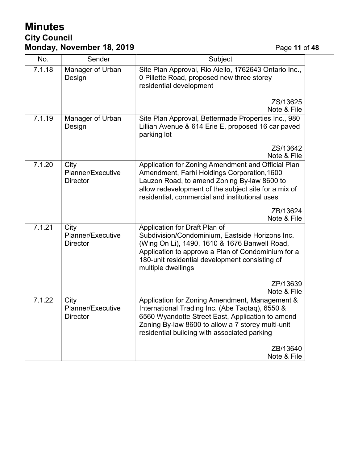# **Minutes City Council Monday, November 18, 2019** Page **11** of **48**

| No.    | Sender                                       | Subject                                                                                                                                                                                                                                                         |  |
|--------|----------------------------------------------|-----------------------------------------------------------------------------------------------------------------------------------------------------------------------------------------------------------------------------------------------------------------|--|
| 7.1.18 | Manager of Urban<br>Design                   | Site Plan Approval, Rio Aiello, 1762643 Ontario Inc.,<br>0 Pillette Road, proposed new three storey<br>residential development                                                                                                                                  |  |
|        |                                              | ZS/13625<br>Note & File                                                                                                                                                                                                                                         |  |
| 7.1.19 | Manager of Urban<br>Design                   | Site Plan Approval, Bettermade Properties Inc., 980<br>Lillian Avenue & 614 Erie E, proposed 16 car paved<br>parking lot                                                                                                                                        |  |
|        |                                              | ZS/13642<br>Note & File                                                                                                                                                                                                                                         |  |
| 7.1.20 | City<br>Planner/Executive<br><b>Director</b> | Application for Zoning Amendment and Official Plan<br>Amendment, Farhi Holdings Corporation, 1600<br>Lauzon Road, to amend Zoning By-law 8600 to<br>allow redevelopment of the subject site for a mix of<br>residential, commercial and institutional uses      |  |
|        |                                              | ZB/13624<br>Note & File                                                                                                                                                                                                                                         |  |
| 7.1.21 | City<br>Planner/Executive<br><b>Director</b> | Application for Draft Plan of<br>Subdivision/Condominium, Eastside Horizons Inc.<br>(Wing On Li), 1490, 1610 & 1676 Banwell Road,<br>Application to approve a Plan of Condominium for a<br>180-unit residential development consisting of<br>multiple dwellings |  |
|        |                                              | ZP/13639<br>Note & File                                                                                                                                                                                                                                         |  |
| 7.1.22 | City<br>Planner/Executive<br><b>Director</b> | Application for Zoning Amendment, Management &<br>International Trading Inc. (Abe Taqtaq), 6550 &<br>6560 Wyandotte Street East, Application to amend<br>Zoning By-law 8600 to allow a 7 storey multi-unit<br>residential building with associated parking      |  |
|        |                                              | ZB/13640<br>Note & File                                                                                                                                                                                                                                         |  |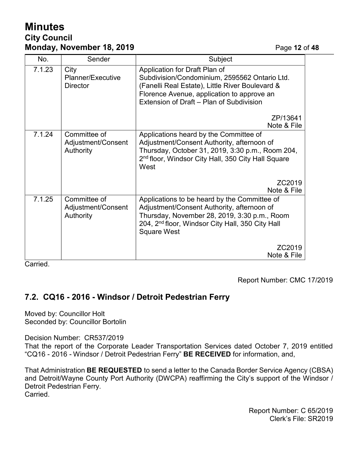# **Minutes City Council Monday, November 18, 2019** Page **12** of **48**

| No.    | Sender                                          | Subject                                                                                                                                                                                                                          |
|--------|-------------------------------------------------|----------------------------------------------------------------------------------------------------------------------------------------------------------------------------------------------------------------------------------|
| 7.1.23 | City<br>Planner/Executive<br><b>Director</b>    | Application for Draft Plan of<br>Subdivision/Condominium, 2595562 Ontario Ltd.<br>(Fanelli Real Estate), Little River Boulevard &<br>Florence Avenue, application to approve an<br>Extension of Draft – Plan of Subdivision      |
|        |                                                 | ZP/13641<br>Note & File                                                                                                                                                                                                          |
| 7.1.24 | Committee of<br>Adjustment/Consent<br>Authority | Applications heard by the Committee of<br>Adjustment/Consent Authority, afternoon of<br>Thursday, October 31, 2019, 3:30 p.m., Room 204,<br>2 <sup>nd</sup> floor, Windsor City Hall, 350 City Hall Square<br>West               |
|        |                                                 | ZC2019<br>Note & File                                                                                                                                                                                                            |
| 7.1.25 | Committee of<br>Adjustment/Consent<br>Authority | Applications to be heard by the Committee of<br>Adjustment/Consent Authority, afternoon of<br>Thursday, November 28, 2019, 3:30 p.m., Room<br>204, 2 <sup>nd</sup> floor, Windsor City Hall, 350 City Hall<br><b>Square West</b> |
|        |                                                 | ZC2019<br>Note & File                                                                                                                                                                                                            |

Carried.

Report Number: CMC 17/2019

## **7.2. CQ16 - 2016 - Windsor / Detroit Pedestrian Ferry**

Moved by: Councillor Holt Seconded by: Councillor Bortolin

Decision Number: CR537/2019

That the report of the Corporate Leader Transportation Services dated October 7, 2019 entitled "CQ16 - 2016 - Windsor / Detroit Pedestrian Ferry" **BE RECEIVED** for information, and,

That Administration **BE REQUESTED** to send a letter to the Canada Border Service Agency (CBSA) and Detroit/Wayne County Port Authority (DWCPA) reaffirming the City's support of the Windsor / Detroit Pedestrian Ferry. Carried.

> Report Number: C 65/2019 Clerk's File: SR2019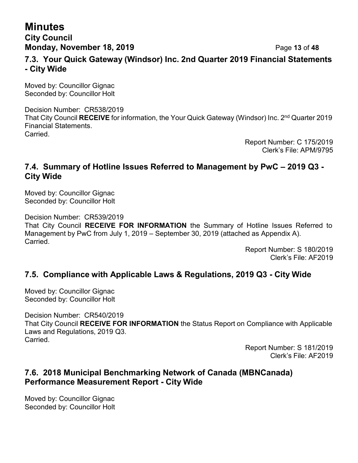# **Minutes**

#### **City Council Monday, November 18, 2019** Page **13** of **48**

## **7.3. Your Quick Gateway (Windsor) Inc. 2nd Quarter 2019 Financial Statements - City Wide**

Moved by: Councillor Gignac Seconded by: Councillor Holt

Decision Number: CR538/2019 That City Council RECEIVE for information, the Your Quick Gateway (Windsor) Inc. 2<sup>nd</sup> Quarter 2019 Financial Statements. **Carried** 

> Report Number: C 175/2019 Clerk's File: APM/9795

## **7.4. Summary of Hotline Issues Referred to Management by PwC – 2019 Q3 - City Wide**

Moved by: Councillor Gignac Seconded by: Councillor Holt

Decision Number: CR539/2019 That City Council **RECEIVE FOR INFORMATION** the Summary of Hotline Issues Referred to Management by PwC from July 1, 2019 – September 30, 2019 (attached as Appendix A). Carried.

Report Number: S 180/2019 Clerk's File: AF2019

## **7.5. Compliance with Applicable Laws & Regulations, 2019 Q3 - City Wide**

Moved by: Councillor Gignac Seconded by: Councillor Holt

Decision Number: CR540/2019 That City Council **RECEIVE FOR INFORMATION** the Status Report on Compliance with Applicable Laws and Regulations, 2019 Q3. **Carried** 

> Report Number: S 181/2019 Clerk's File: AF2019

# **7.6. 2018 Municipal Benchmarking Network of Canada (MBNCanada) Performance Measurement Report - City Wide**

Moved by: Councillor Gignac Seconded by: Councillor Holt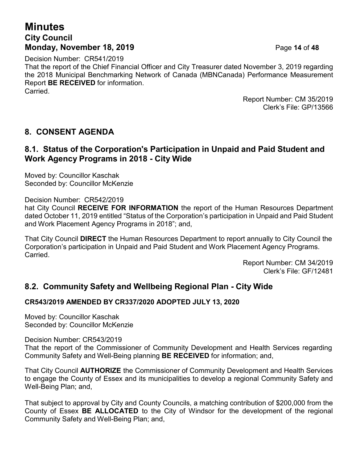# **Minutes City Council Monday, November 18, 2019 Page 14 of 48**

Decision Number: CR541/2019 That the report of the Chief Financial Officer and City Treasurer dated November 3, 2019 regarding the 2018 Municipal Benchmarking Network of Canada (MBNCanada) Performance Measurement Report **BE RECEIVED** for information. **Carried** 

> Report Number: CM 35/2019 Clerk's File: GP/13566

## **8. CONSENT AGENDA**

#### **8.1. Status of the Corporation's Participation in Unpaid and Paid Student and Work Agency Programs in 2018 - City Wide**

Moved by: Councillor Kaschak Seconded by: Councillor McKenzie

Decision Number: CR542/2019

hat City Council **RECEIVE FOR INFORMATION** the report of the Human Resources Department dated October 11, 2019 entitled "Status of the Corporation's participation in Unpaid and Paid Student and Work Placement Agency Programs in 2018"; and,

That City Council **DIRECT** the Human Resources Department to report annually to City Council the Corporation's participation in Unpaid and Paid Student and Work Placement Agency Programs. Carried.

Report Number: CM 34/2019 Clerk's File: GF/12481

# **8.2. Community Safety and Wellbeing Regional Plan - City Wide**

#### **CR543/2019 AMENDED BY CR337/2020 ADOPTED JULY 13, 2020**

Moved by: Councillor Kaschak Seconded by: Councillor McKenzie

Decision Number: CR543/2019

That the report of the Commissioner of Community Development and Health Services regarding Community Safety and Well-Being planning **BE RECEIVED** for information; and,

That City Council **AUTHORIZE** the Commissioner of Community Development and Health Services to engage the County of Essex and its municipalities to develop a regional Community Safety and Well-Being Plan; and,

That subject to approval by City and County Councils, a matching contribution of \$200,000 from the County of Essex **BE ALLOCATED** to the City of Windsor for the development of the regional Community Safety and Well-Being Plan; and,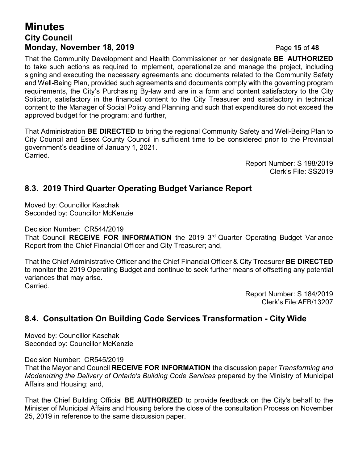# **Minutes City Council Monday, November 18, 2019** Page **15** of **48**

That the Community Development and Health Commissioner or her designate **BE AUTHORIZED** to take such actions as required to implement, operationalize and manage the project, including signing and executing the necessary agreements and documents related to the Community Safety and Well-Being Plan, provided such agreements and documents comply with the governing program requirements, the City's Purchasing By-law and are in a form and content satisfactory to the City Solicitor, satisfactory in the financial content to the City Treasurer and satisfactory in technical content to the Manager of Social Policy and Planning and such that expenditures do not exceed the approved budget for the program; and further,

That Administration **BE DIRECTED** to bring the regional Community Safety and Well-Being Plan to City Council and Essex County Council in sufficient time to be considered prior to the Provincial government's deadline of January 1, 2021. Carried.

> Report Number: S 198/2019 Clerk's File: SS2019

## **8.3. 2019 Third Quarter Operating Budget Variance Report**

Moved by: Councillor Kaschak Seconded by: Councillor McKenzie

Decision Number: CR544/2019

That Council **RECEIVE FOR INFORMATION** the 2019 3rd Quarter Operating Budget Variance Report from the Chief Financial Officer and City Treasurer; and,

That the Chief Administrative Officer and the Chief Financial Officer & City Treasurer **BE DIRECTED** to monitor the 2019 Operating Budget and continue to seek further means of offsetting any potential variances that may arise. Carried.

> Report Number: S 184/2019 Clerk's File:AFB/13207

# **8.4. Consultation On Building Code Services Transformation - City Wide**

Moved by: Councillor Kaschak Seconded by: Councillor McKenzie

Decision Number: CR545/2019

That the Mayor and Council **RECEIVE FOR INFORMATION** the discussion paper *Transforming and Modernizing the Delivery of Ontario's Building Code Services prepared by the Ministry of Municipal* Affairs and Housing; and,

That the Chief Building Official **BE AUTHORIZED** to provide feedback on the City's behalf to the Minister of Municipal Affairs and Housing before the close of the consultation Process on November 25, 2019 in reference to the same discussion paper.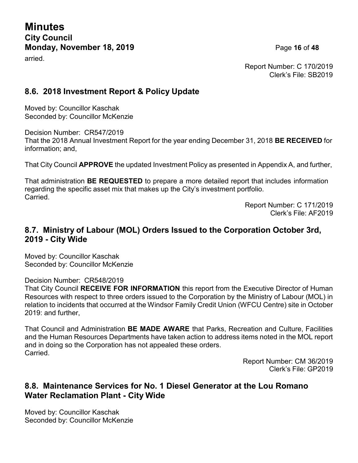**Minutes City Council Monday, November 18, 2019 Page 16 of 48** 

arried.

Report Number: C 170/2019 Clerk's File: SB2019

## **8.6. 2018 Investment Report & Policy Update**

Moved by: Councillor Kaschak Seconded by: Councillor McKenzie

Decision Number: CR547/2019

That the 2018 Annual Investment Report for the year ending December 31, 2018 **BE RECEIVED** for information; and,

That City Council **APPROVE** the updated Investment Policy as presented in Appendix A, and further,

That administration **BE REQUESTED** to prepare a more detailed report that includes information regarding the specific asset mix that makes up the City's investment portfolio. Carried.

Report Number: C 171/2019 Clerk's File: AF2019

#### **8.7. Ministry of Labour (MOL) Orders Issued to the Corporation October 3rd, 2019 - City Wide**

Moved by: Councillor Kaschak Seconded by: Councillor McKenzie

Decision Number: CR548/2019 That City Council **RECEIVE FOR INFORMATION** this report from the Executive Director of Human Resources with respect to three orders issued to the Corporation by the Ministry of Labour (MOL) in relation to incidents that occurred at the Windsor Family Credit Union (WFCU Centre) site in October 2019: and further,

That Council and Administration **BE MADE AWARE** that Parks, Recreation and Culture, Facilities and the Human Resources Departments have taken action to address items noted in the MOL report and in doing so the Corporation has not appealed these orders. Carried.

> Report Number: CM 36/2019 Clerk's File: GP2019

## **8.8. Maintenance Services for No. 1 Diesel Generator at the Lou Romano Water Reclamation Plant - City Wide**

Moved by: Councillor Kaschak Seconded by: Councillor McKenzie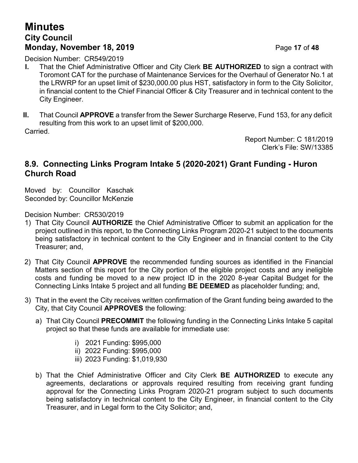# **Minutes City Council Monday, November 18, 2019 Page 17 of 48**

Decision Number: CR549/2019

- **I.** That the Chief Administrative Officer and City Clerk **BE AUTHORIZED** to sign a contract with Toromont CAT for the purchase of Maintenance Services for the Overhaul of Generator No.1 at the LRWRP for an upset limit of \$230,000.00 plus HST, satisfactory in form to the City Solicitor, in financial content to the Chief Financial Officer & City Treasurer and in technical content to the City Engineer.
- **II.** That Council **APPROVE** a transfer from the Sewer Surcharge Reserve, Fund 153, for any deficit resulting from this work to an upset limit of \$200,000. Carried.

Report Number: C 181/2019 Clerk's File: SW/13385

#### **8.9. Connecting Links Program Intake 5 (2020-2021) Grant Funding - Huron Church Road**

Moved by: Councillor Kaschak Seconded by: Councillor McKenzie

Decision Number: CR530/2019

- 1) That City Council **AUTHORIZE** the Chief Administrative Officer to submit an application for the project outlined in this report, to the Connecting Links Program 2020-21 subject to the documents being satisfactory in technical content to the City Engineer and in financial content to the City Treasurer; and,
- 2) That City Council **APPROVE** the recommended funding sources as identified in the Financial Matters section of this report for the City portion of the eligible project costs and any ineligible costs and funding be moved to a new project ID in the 2020 8-year Capital Budget for the Connecting Links Intake 5 project and all funding **BE DEEMED** as placeholder funding; and,
- 3) That in the event the City receives written confirmation of the Grant funding being awarded to the City, that City Council **APPROVES** the following:
	- a) That City Council **PRECOMMIT** the following funding in the Connecting Links Intake 5 capital project so that these funds are available for immediate use:
		- i) 2021 Funding: \$995,000
		- ii) 2022 Funding: \$995,000
		- iii) 2023 Funding: \$1,019,930
	- b) That the Chief Administrative Officer and City Clerk **BE AUTHORIZED** to execute any agreements, declarations or approvals required resulting from receiving grant funding approval for the Connecting Links Program 2020-21 program subject to such documents being satisfactory in technical content to the City Engineer, in financial content to the City Treasurer, and in Legal form to the City Solicitor; and,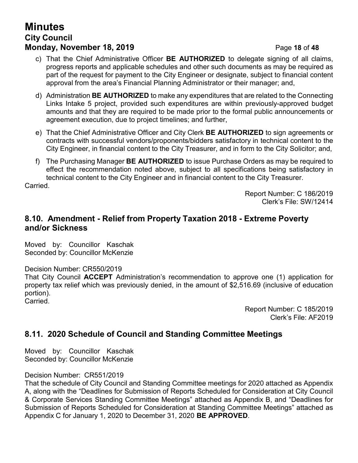# **Minutes City Council Monday, November 18, 2019** Page **18** of **48**

- c) That the Chief Administrative Officer **BE AUTHORIZED** to delegate signing of all claims, progress reports and applicable schedules and other such documents as may be required as part of the request for payment to the City Engineer or designate, subject to financial content approval from the area's Financial Planning Administrator or their manager; and,
- d) Administration **BE AUTHORIZED** to make any expenditures that are related to the Connecting Links Intake 5 project, provided such expenditures are within previously-approved budget amounts and that they are required to be made prior to the formal public announcements or agreement execution, due to project timelines; and further,
- e) That the Chief Administrative Officer and City Clerk **BE AUTHORIZED** to sign agreements or contracts with successful vendors/proponents/bidders satisfactory in technical content to the City Engineer, in financial content to the City Treasurer, and in form to the City Solicitor; and,
- f) The Purchasing Manager **BE AUTHORIZED** to issue Purchase Orders as may be required to effect the recommendation noted above, subject to all specifications being satisfactory in technical content to the City Engineer and in financial content to the City Treasurer.

Carried.

Report Number: C 186/2019 Clerk's File: SW/12414

#### **8.10. Amendment - Relief from Property Taxation 2018 - Extreme Poverty and/or Sickness**

Moved by: Councillor Kaschak Seconded by: Councillor McKenzie

Decision Number: CR550/2019

That City Council **ACCEPT** Administration's recommendation to approve one (1) application for property tax relief which was previously denied, in the amount of \$2,516.69 (inclusive of education portion).

Carried.

Report Number: C 185/2019 Clerk's File: AF2019

## **8.11. 2020 Schedule of Council and Standing Committee Meetings**

Moved by: Councillor Kaschak Seconded by: Councillor McKenzie

#### Decision Number: CR551/2019

That the schedule of City Council and Standing Committee meetings for 2020 attached as Appendix A, along with the "Deadlines for Submission of Reports Scheduled for Consideration at City Council & Corporate Services Standing Committee Meetings" attached as Appendix B, and "Deadlines for Submission of Reports Scheduled for Consideration at Standing Committee Meetings" attached as Appendix C for January 1, 2020 to December 31, 2020 **BE APPROVED**.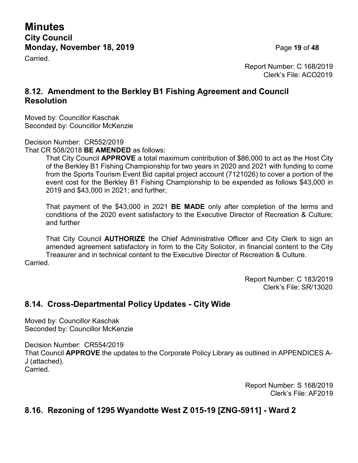**Minutes City Council Monday, November 18, 2019 Page 19 of 48** 

Carried.

Report Number: C 168/2019 Clerk's File: ACO2019

# **8.12. Amendment to the Berkley B1 Fishing Agreement and Council Resolution**

Moved by: Councillor Kaschak Seconded by: Councillor McKenzie

Decision Number: CR552/2019

That CR 508/2018 **BE AMENDED** as follows:

That City Council **APPROVE** a total maximum contribution of \$86,000 to act as the Host City of the Berkley B1 Fishing Championship for two years in 2020 and 2021 with funding to come from the Sports Tourism Event Bid capital project account (7121026) to cover a portion of the event cost for the Berkley B1 Fishing Championship to be expended as follows \$43,000 in 2019 and \$43,000 in 2021; and further,

That payment of the \$43,000 in 2021 **BE MADE** only after completion of the terms and conditions of the 2020 event satisfactory to the Executive Director of Recreation & Culture; and further

That City Council **AUTHORIZE** the Chief Administrative Officer and City Clerk to sign an amended agreement satisfactory in form to the City Solicitor, in financial content to the City

Treasurer and in technical content to the Executive Director of Recreation & Culture. Carried.

> Report Number: C 183/2019 Clerk's File: SR/13020

## **8.14. Cross-Departmental Policy Updates - City Wide**

Moved by: Councillor Kaschak Seconded by: Councillor McKenzie

Decision Number: CR554/2019 That Council **APPROVE** the updates to the Corporate Policy Library as outlined in APPENDICES A-J (attached). Carried.

> Report Number: S 168/2019 Clerk's File: AF2019

# **8.16. Rezoning of 1295 Wyandotte West Z 015-19 [ZNG-5911] - Ward 2**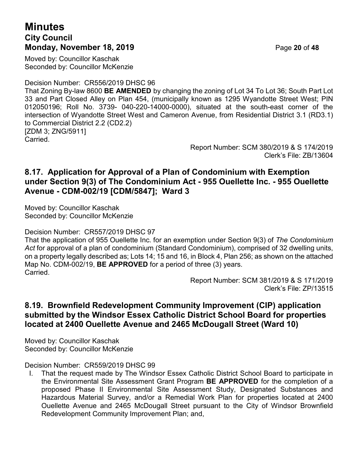# **Minutes City Council Monday, November 18, 2019 Page 20 of 48**

Moved by: Councillor Kaschak Seconded by: Councillor McKenzie

Decision Number: CR556/2019 DHSC 96

That Zoning By-law 8600 **BE AMENDED** by changing the zoning of Lot 34 To Lot 36; South Part Lot 33 and Part Closed Alley on Plan 454, (municipally known as 1295 Wyandotte Street West; PIN 012050196; Roll No. 3739- 040-220-14000-0000), situated at the south-east corner of the intersection of Wyandotte Street West and Cameron Avenue, from Residential District 3.1 (RD3.1) to Commercial District 2.2 (CD2.2) [ZDM 3; ZNG/5911] Carried.

> Report Number: SCM 380/2019 & S 174/2019 Clerk's File: ZB/13604

## **8.17. Application for Approval of a Plan of Condominium with Exemption under Section 9(3) of The Condominium Act - 955 Ouellette Inc. - 955 Ouellette Avenue - CDM-002/19 [CDM/5847]; Ward 3**

Moved by: Councillor Kaschak Seconded by: Councillor McKenzie

Decision Number: CR557/2019 DHSC 97

That the application of 955 Ouellette Inc. for an exemption under Section 9(3) of *The Condominium Act* for approval of a plan of condominium (Standard Condominium), comprised of 32 dwelling units, on a property legally described as; Lots 14; 15 and 16, in Block 4, Plan 256; as shown on the attached Map No. CDM-002/19, **BE APPROVED** for a period of three (3) years. Carried.

> Report Number: SCM 381/2019 & S 171/2019 Clerk's File: ZP/13515

# **8.19. Brownfield Redevelopment Community Improvement (CIP) application submitted by the Windsor Essex Catholic District School Board for properties located at 2400 Ouellette Avenue and 2465 McDougall Street (Ward 10)**

Moved by: Councillor Kaschak Seconded by: Councillor McKenzie

Decision Number: CR559/2019 DHSC 99

I. That the request made by The Windsor Essex Catholic District School Board to participate in the Environmental Site Assessment Grant Program **BE APPROVED** for the completion of a proposed Phase II Environmental Site Assessment Study, Designated Substances and Hazardous Material Survey, and/or a Remedial Work Plan for properties located at 2400 Ouellette Avenue and 2465 McDougall Street pursuant to the City of Windsor Brownfield Redevelopment Community Improvement Plan; and,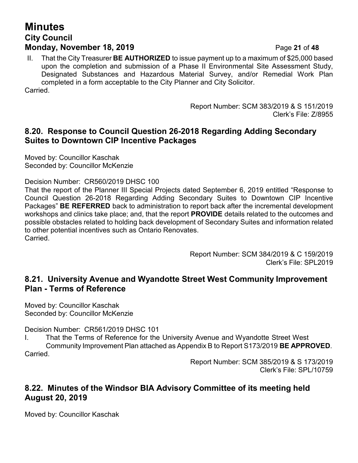# **Minutes City Council Monday, November 18, 2019 Page 21 of 48**

II. That the City Treasurer **BE AUTHORIZED** to issue payment up to a maximum of \$25,000 based upon the completion and submission of a Phase II Environmental Site Assessment Study, Designated Substances and Hazardous Material Survey, and/or Remedial Work Plan completed in a form acceptable to the City Planner and City Solicitor.

Carried.

Report Number: SCM 383/2019 & S 151/2019 Clerk's File: Z/8955

## **8.20. Response to Council Question 26-2018 Regarding Adding Secondary Suites to Downtown CIP Incentive Packages**

Moved by: Councillor Kaschak Seconded by: Councillor McKenzie

Decision Number: CR560/2019 DHSC 100

That the report of the Planner III Special Projects dated September 6, 2019 entitled "Response to Council Question 26-2018 Regarding Adding Secondary Suites to Downtown CIP Incentive Packages" **BE REFERRED** back to administration to report back after the incremental development workshops and clinics take place; and, that the report **PROVIDE** details related to the outcomes and possible obstacles related to holding back development of Secondary Suites and information related to other potential incentives such as Ontario Renovates. Carried.

> Report Number: SCM 384/2019 & C 159/2019 Clerk's File: SPL2019

# **8.21. University Avenue and Wyandotte Street West Community Improvement Plan - Terms of Reference**

Moved by: Councillor Kaschak Seconded by: Councillor McKenzie

Decision Number: CR561/2019 DHSC 101

I. That the Terms of Reference for the University Avenue and Wyandotte Street West

Community Improvement Plan attached as Appendix B to Report S173/2019 **BE APPROVED**. Carried.

Report Number: SCM 385/2019 & S 173/2019 Clerk's File: SPL/10759

## **8.22. Minutes of the Windsor BIA Advisory Committee of its meeting held August 20, 2019**

Moved by: Councillor Kaschak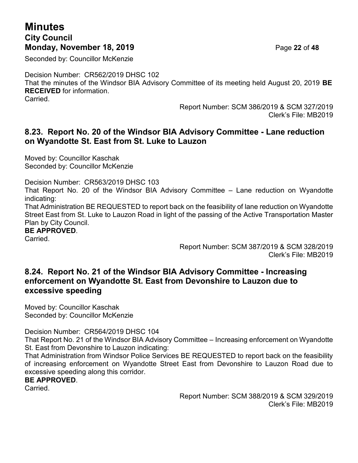# **Minutes City Council Monday, November 18, 2019** Page **22** of **48**

Seconded by: Councillor McKenzie

Decision Number: CR562/2019 DHSC 102 That the minutes of the Windsor BIA Advisory Committee of its meeting held August 20, 2019 **BE RECEIVED** for information. Carried.

> Report Number: SCM 386/2019 & SCM 327/2019 Clerk's File: MB2019

## **8.23. Report No. 20 of the Windsor BIA Advisory Committee - Lane reduction on Wyandotte St. East from St. Luke to Lauzon**

Moved by: Councillor Kaschak Seconded by: Councillor McKenzie

Decision Number: CR563/2019 DHSC 103 That Report No. 20 of the Windsor BIA Advisory Committee – Lane reduction on Wyandotte indicating:

That Administration BE REQUESTED to report back on the feasibility of lane reduction on Wyandotte Street East from St. Luke to Lauzon Road in light of the passing of the Active Transportation Master Plan by City Council.

**BE APPROVED**.

Carried.

Report Number: SCM 387/2019 & SCM 328/2019 Clerk's File: MB2019

## **8.24. Report No. 21 of the Windsor BIA Advisory Committee - Increasing enforcement on Wyandotte St. East from Devonshire to Lauzon due to excessive speeding**

Moved by: Councillor Kaschak Seconded by: Councillor McKenzie

Decision Number: CR564/2019 DHSC 104

That Report No. 21 of the Windsor BIA Advisory Committee – Increasing enforcement on Wyandotte St. East from Devonshire to Lauzon indicating:

That Administration from Windsor Police Services BE REQUESTED to report back on the feasibility of increasing enforcement on Wyandotte Street East from Devonshire to Lauzon Road due to excessive speeding along this corridor.

#### **BE APPROVED**.

Carried.

Report Number: SCM 388/2019 & SCM 329/2019 Clerk's File: MB2019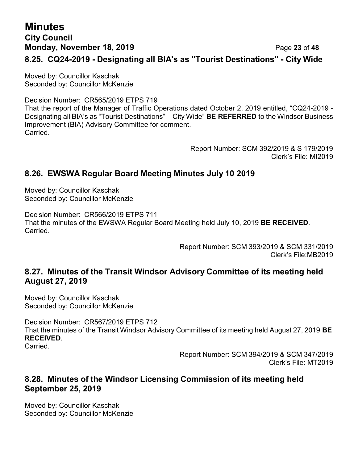# **Minutes City Council Monday, November 18, 2019 Page 23 of 48 8.25. CQ24-2019 - Designating all BIA's as "Tourist Destinations" - City Wide**

Moved by: Councillor Kaschak Seconded by: Councillor McKenzie

Decision Number: CR565/2019 ETPS 719 That the report of the Manager of Traffic Operations dated October 2, 2019 entitled, "CQ24-2019 - Designating all BIA's as "Tourist Destinations" – City Wide" **BE REFERRED** to the Windsor Business Improvement (BIA) Advisory Committee for comment. Carried.

> Report Number: SCM 392/2019 & S 179/2019 Clerk's File: MI2019

# **8.26. EWSWA Regular Board Meeting Minutes July 10 2019**

Moved by: Councillor Kaschak Seconded by: Councillor McKenzie

Decision Number: CR566/2019 ETPS 711 That the minutes of the EWSWA Regular Board Meeting held July 10, 2019 **BE RECEIVED**. Carried.

> Report Number: SCM 393/2019 & SCM 331/2019 Clerk's File:MB2019

# **8.27. Minutes of the Transit Windsor Advisory Committee of its meeting held August 27, 2019**

Moved by: Councillor Kaschak Seconded by: Councillor McKenzie

Decision Number: CR567/2019 ETPS 712 That the minutes of the Transit Windsor Advisory Committee of its meeting held August 27, 2019 **BE RECEIVED**. **Carried** 

> Report Number: SCM 394/2019 & SCM 347/2019 Clerk's File: MT2019

# **8.28. Minutes of the Windsor Licensing Commission of its meeting held September 25, 2019**

Moved by: Councillor Kaschak Seconded by: Councillor McKenzie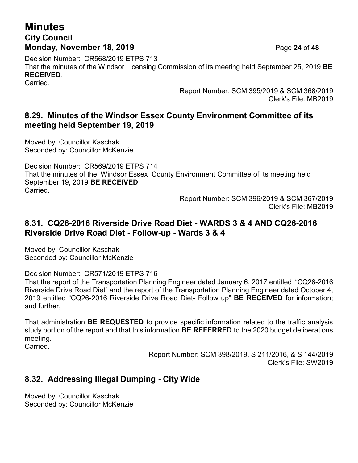# **Minutes City Council Monday, November 18, 2019** Page **24** of **48**

Decision Number: CR568/2019 ETPS 713 That the minutes of the Windsor Licensing Commission of its meeting held September 25, 2019 **BE RECEIVED**. Carried.

> Report Number: SCM 395/2019 & SCM 368/2019 Clerk's File: MB2019

## **8.29. Minutes of the Windsor Essex County Environment Committee of its meeting held September 19, 2019**

Moved by: Councillor Kaschak Seconded by: Councillor McKenzie

Decision Number: CR569/2019 ETPS 714 That the minutes of the Windsor Essex County Environment Committee of its meeting held September 19, 2019 **BE RECEIVED**. Carried.

Report Number: SCM 396/2019 & SCM 367/2019 Clerk's File: MB2019

## **8.31. CQ26-2016 Riverside Drive Road Diet - WARDS 3 & 4 AND CQ26-2016 Riverside Drive Road Diet - Follow-up - Wards 3 & 4**

Moved by: Councillor Kaschak Seconded by: Councillor McKenzie

Decision Number: CR571/2019 ETPS 716

That the report of the Transportation Planning Engineer dated January 6, 2017 entitled "CQ26-2016 Riverside Drive Road Diet" and the report of the Transportation Planning Engineer dated October 4, 2019 entitled "CQ26-2016 Riverside Drive Road Diet- Follow up" **BE RECEIVED** for information; and further,

That administration **BE REQUESTED** to provide specific information related to the traffic analysis study portion of the report and that this information **BE REFERRED** to the 2020 budget deliberations meeting. Carried.

> Report Number: SCM 398/2019, S 211/2016, & S 144/2019 Clerk's File: SW2019

# **8.32. Addressing Illegal Dumping - City Wide**

Moved by: Councillor Kaschak Seconded by: Councillor McKenzie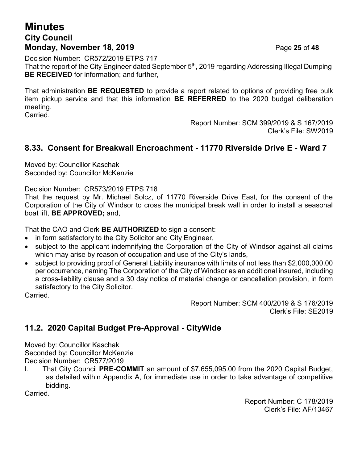# **Minutes City Council Monday, November 18, 2019 Page 25 of 48**

Decision Number: CR572/2019 ETPS 717

That the report of the City Engineer dated September 5<sup>th</sup>, 2019 regarding Addressing Illegal Dumping **BE RECEIVED** for information; and further,

That administration **BE REQUESTED** to provide a report related to options of providing free bulk item pickup service and that this information **BE REFERRED** to the 2020 budget deliberation meeting.

Carried.

Report Number: SCM 399/2019 & S 167/2019 Clerk's File: SW2019

# **8.33. Consent for Breakwall Encroachment - 11770 Riverside Drive E - Ward 7**

Moved by: Councillor Kaschak Seconded by: Councillor McKenzie

Decision Number: CR573/2019 ETPS 718

That the request by Mr. Michael Solcz, of 11770 Riverside Drive East, for the consent of the Corporation of the City of Windsor to cross the municipal break wall in order to install a seasonal boat lift, **BE APPROVED;** and,

That the CAO and Clerk **BE AUTHORIZED** to sign a consent:

- in form satisfactory to the City Solicitor and City Engineer,
- subject to the applicant indemnifying the Corporation of the City of Windsor against all claims which may arise by reason of occupation and use of the City's lands,
- subject to providing proof of General Liability insurance with limits of not less than \$2,000,000.00 per occurrence, naming The Corporation of the City of Windsor as an additional insured, including a cross-liability clause and a 30 day notice of material change or cancellation provision, in form satisfactory to the City Solicitor.

Carried.

Report Number: SCM 400/2019 & S 176/2019 Clerk's File: SE2019

# **11.2. 2020 Capital Budget Pre-Approval - CityWide**

Moved by: Councillor Kaschak Seconded by: Councillor McKenzie Decision Number: CR577/2019

I. That City Council **PRE-COMMIT** an amount of \$7,655,095.00 from the 2020 Capital Budget, as detailed within Appendix A, for immediate use in order to take advantage of competitive bidding.

Carried.

Report Number: C 178/2019 Clerk's File: AF/13467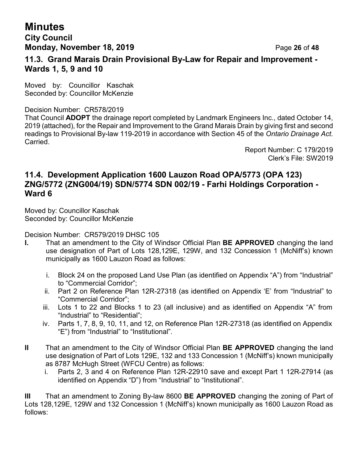# **Minutes**

**City Council Monday, November 18, 2019** Page **26** of **48**

**11.3. Grand Marais Drain Provisional By-Law for Repair and Improvement - Wards 1, 5, 9 and 10**

Moved by: Councillor Kaschak Seconded by: Councillor McKenzie

Decision Number: CR578/2019

That Council **ADOPT** the drainage report completed by Landmark Engineers Inc., dated October 14, 2019 (attached), for the Repair and Improvement to the Grand Marais Drain by giving first and second readings to Provisional By-law 119-2019 in accordance with Section 45 of the *Ontario Drainage Act*. Carried.

> Report Number: C 179/2019 Clerk's File: SW2019

## **11.4. Development Application 1600 Lauzon Road OPA/5773 (OPA 123) ZNG/5772 (ZNG004/19) SDN/5774 SDN 002/19 - Farhi Holdings Corporation - Ward 6**

Moved by: Councillor Kaschak Seconded by: Councillor McKenzie

Decision Number: CR579/2019 DHSC 105

- **I.** That an amendment to the City of Windsor Official Plan **BE APPROVED** changing the land use designation of Part of Lots 128,129E, 129W, and 132 Concession 1 (McNiff's) known municipally as 1600 Lauzon Road as follows:
	- i. Block 24 on the proposed Land Use Plan (as identified on Appendix "A") from "Industrial" to "Commercial Corridor";
	- ii. Part 2 on Reference Plan 12R-27318 (as identified on Appendix 'E' from "Industrial" to "Commercial Corridor";
	- iii. Lots 1 to 22 and Blocks 1 to 23 (all inclusive) and as identified on Appendix "A" from "Industrial" to "Residential";
	- iv. Parts 1, 7, 8, 9, 10, 11, and 12, on Reference Plan 12R-27318 (as identified on Appendix "E") from "Industrial" to "Institutional".
- **II** That an amendment to the City of Windsor Official Plan **BE APPROVED** changing the land use designation of Part of Lots 129E, 132 and 133 Concession 1 (McNiff's) known municipally as 8787 McHugh Street (WFCU Centre) as follows:
	- i. Parts 2, 3 and 4 on Reference Plan 12R-22910 save and except Part 1 12R-27914 (as identified on Appendix "D") from "Industrial" to "Institutional".

**III** That an amendment to Zoning By-law 8600 **BE APPROVED** changing the zoning of Part of Lots 128,129E, 129W and 132 Concession 1 (McNiff's) known municipally as 1600 Lauzon Road as follows: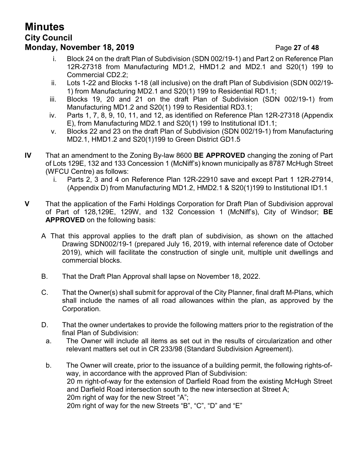# **Minutes City Council Monday, November 18, 2019 Page 27 of 48**

- i. Block 24 on the draft Plan of Subdivision (SDN 002/19-1) and Part 2 on Reference Plan 12R-27318 from Manufacturing MD1.2, HMD1.2 and MD2.1 and S20(1) 199 to Commercial CD2.2;
- ii. Lots 1-22 and Blocks 1-18 (all inclusive) on the draft Plan of Subdivision (SDN 002/19- 1) from Manufacturing MD2.1 and S20(1) 199 to Residential RD1.1;
- iii. Blocks 19, 20 and 21 on the draft Plan of Subdivision (SDN 002/19-1) from Manufacturing MD1.2 and S20(1) 199 to Residential RD3.1;
- iv. Parts 1, 7, 8, 9, 10, 11, and 12, as identified on Reference Plan 12R-27318 (Appendix E), from Manufacturing MD2.1 and S20(1) 199 to Institutional ID1.1;
- v. Blocks 22 and 23 on the draft Plan of Subdivision (SDN 002/19-1) from Manufacturing MD2.1, HMD1.2 and S20(1)199 to Green District GD1.5
- **IV** That an amendment to the Zoning By-law 8600 **BE APPROVED** changing the zoning of Part of Lots 129E, 132 and 133 Concession 1 (McNiff's) known municipally as 8787 McHugh Street (WFCU Centre) as follows:
	- i. Parts 2, 3 and 4 on Reference Plan 12R-22910 save and except Part 1 12R-27914, (Appendix D) from Manufacturing MD1.2, HMD2.1 & S20(1)199 to Institutional ID1.1
- **V** That the application of the Farhi Holdings Corporation for Draft Plan of Subdivision approval of Part of 128,129E, 129W, and 132 Concession 1 (McNiff's), City of Windsor; **BE APPROVED** on the following basis:
	- A That this approval applies to the draft plan of subdivision, as shown on the attached Drawing SDN002/19-1 (prepared July 16, 2019, with internal reference date of October 2019), which will facilitate the construction of single unit, multiple unit dwellings and commercial blocks.
	- B. That the Draft Plan Approval shall lapse on November 18, 2022.
	- C. That the Owner(s) shall submit for approval of the City Planner, final draft M-Plans, which shall include the names of all road allowances within the plan, as approved by the Corporation.
	- D. That the owner undertakes to provide the following matters prior to the registration of the final Plan of Subdivision:
		- a. The Owner will include all items as set out in the results of circularization and other relevant matters set out in CR 233/98 (Standard Subdivision Agreement).
		- b. The Owner will create, prior to the issuance of a building permit, the following rights-ofway, in accordance with the approved Plan of Subdivision: 20 m right-of-way for the extension of Darfield Road from the existing McHugh Street and Darfield Road intersection south to the new intersection at Street A; 20m right of way for the new Street "A"; 20m right of way for the new Streets "B", "C", "D" and "E"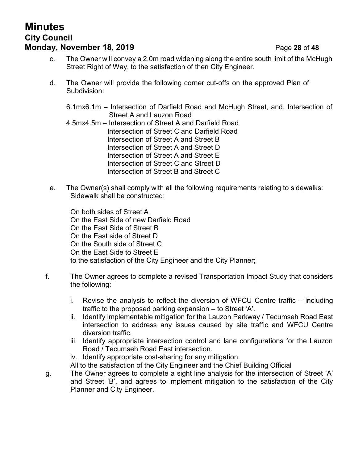# **Minutes City Council Monday, November 18, 2019 Page 28 of 48**

- c. The Owner will convey a 2.0m road widening along the entire south limit of the McHugh Street Right of Way, to the satisfaction of then City Engineer.
- d. The Owner will provide the following corner cut-offs on the approved Plan of Subdivision:
	- 6.1mx6.1m Intersection of Darfield Road and McHugh Street, and, Intersection of Street A and Lauzon Road
	- 4.5mx4.5m Intersection of Street A and Darfield Road Intersection of Street C and Darfield Road Intersection of Street A and Street B Intersection of Street A and Street D Intersection of Street A and Street E Intersection of Street C and Street D Intersection of Street B and Street C
- e. The Owner(s) shall comply with all the following requirements relating to sidewalks: Sidewalk shall be constructed:

On both sides of Street A On the East Side of new Darfield Road On the East Side of Street B On the East side of Street D On the South side of Street C On the East Side to Street E to the satisfaction of the City Engineer and the City Planner;

- f. The Owner agrees to complete a revised Transportation Impact Study that considers the following:
	- i. Revise the analysis to reflect the diversion of WFCU Centre traffic including traffic to the proposed parking expansion – to Street 'A'.
	- ii. Identify implementable mitigation for the Lauzon Parkway / Tecumseh Road East intersection to address any issues caused by site traffic and WFCU Centre diversion traffic.
	- iii. Identify appropriate intersection control and lane configurations for the Lauzon Road / Tecumseh Road East intersection.
	- iv. Identify appropriate cost-sharing for any mitigation.
	- All to the satisfaction of the City Engineer and the Chief Building Official
- g. The Owner agrees to complete a sight line analysis for the intersection of Street 'A' and Street 'B', and agrees to implement mitigation to the satisfaction of the City Planner and City Engineer.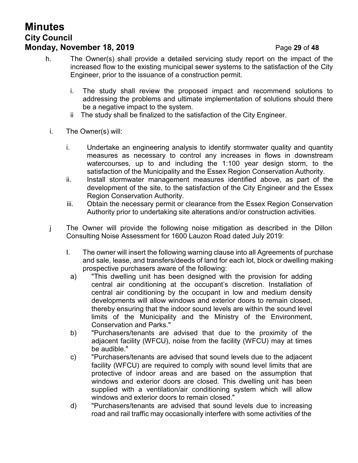# **Minutes City Council Monday, November 18, 2019** Page **29** of **48**

- h. The Owner(s) shall provide a detailed servicing study report on the impact of the increased flow to the existing municipal sewer systems to the satisfaction of the City Engineer, prior to the issuance of a construction permit.
	- i. The study shall review the proposed impact and recommend solutions to addressing the problems and ultimate implementation of solutions should there be a negative impact to the system.
	- ii The study shall be finalized to the satisfaction of the City Engineer.
- i. The Owner(s) will:
	- i. Undertake an engineering analysis to identify stormwater quality and quantity measures as necessary to control any increases in flows in downstream watercourses, up to and including the 1:100 year design storm, to the satisfaction of the Municipality and the Essex Region Conservation Authority.
	- ii. Install stormwater management measures identified above, as part of the development of the site, to the satisfaction of the City Engineer and the Essex Region Conservation Authority.
	- iii. Obtain the necessary permit or clearance from the Essex Region Conservation Authority prior to undertaking site alterations and/or construction activities.
- j The Owner will provide the following noise mitigation as described in the Dillon Consulting Noise Assessment for 1600 Lauzon Road dated July 2019:
	- I. The owner will insert the following warning clause into all Agreements of purchase and sale, lease, and transfers/deeds of land for each lot, block or dwelling making prospective purchasers aware of the following:
		- a) "This dwelling unit has been designed with the provision for adding central air conditioning at the occupant's discretion. Installation of central air conditioning by the occupant in low and medium density developments will allow windows and exterior doors to remain closed, thereby ensuring that the indoor sound levels are within the sound level limits of the Municipality and the Ministry of the Environment, Conservation and Parks."
		- b) "Purchasers/tenants are advised that due to the proximity of the adjacent facility (WFCU), noise from the facility (WFCU) may at times be audible."
		- c) "Purchasers/tenants are advised that sound levels due to the adjacent facility (WFCU) are required to comply with sound level limits that are protective of indoor areas and are based on the assumption that windows and exterior doors are closed. This dwelling unit has been supplied with a ventilation/air conditioning system which will allow windows and exterior doors to remain closed."
		- d) "Purchasers/tenants are advised that sound levels due to increasing road and rail traffic may occasionally interfere with some activities of the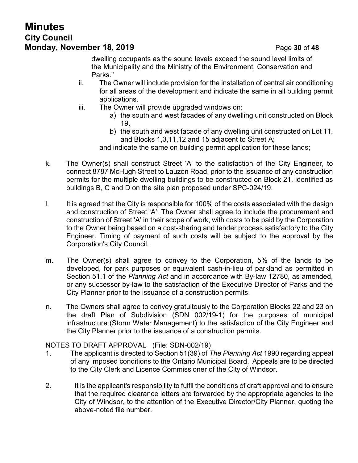# **Minutes**

# **City Council Monday, November 18, 2019 Page 30** of 48

dwelling occupants as the sound levels exceed the sound level limits of the Municipality and the Ministry of the Environment, Conservation and Parks."

- ii. The Owner will include provision for the installation of central air conditioning for all areas of the development and indicate the same in all building permit applications.
- iii. The Owner will provide upgraded windows on:
	- a) the south and west facades of any dwelling unit constructed on Block 19,
	- b) the south and west facade of any dwelling unit constructed on Lot 11, and Blocks 1,3,11,12 and 15 adjacent to Street A;

and indicate the same on building permit application for these lands;

- k. The Owner(s) shall construct Street 'A' to the satisfaction of the City Engineer, to connect 8787 McHugh Street to Lauzon Road, prior to the issuance of any construction permits for the multiple dwelling buildings to be constructed on Block 21, identified as buildings B, C and D on the site plan proposed under SPC-024/19.
- I. It is agreed that the City is responsible for 100% of the costs associated with the design and construction of Street 'A'. The Owner shall agree to include the procurement and construction of Street 'A' in their scope of work, with costs to be paid by the Corporation to the Owner being based on a cost-sharing and tender process satisfactory to the City Engineer. Timing of payment of such costs will be subject to the approval by the Corporation's City Council.
- m. The Owner(s) shall agree to convey to the Corporation, 5% of the lands to be developed, for park purposes or equivalent cash-in-lieu of parkland as permitted in Section 51.1 of the *Planning Act* and in accordance with By-law 12780, as amended, or any successor by-law to the satisfaction of the Executive Director of Parks and the City Planner prior to the issuance of a construction permits.
- n. The Owners shall agree to convey gratuitously to the Corporation Blocks 22 and 23 on the draft Plan of Subdivision (SDN 002/19-1) for the purposes of municipal infrastructure (Storm Water Management) to the satisfaction of the City Engineer and the City Planner prior to the issuance of a construction permits.

#### NOTES TO DRAFT APPROVAL (File: SDN-002/19)

- 1. The applicant is directed to Section 51(39) of *The Planning Act* 1990 regarding appeal of any imposed conditions to the Ontario Municipal Board. Appeals are to be directed to the City Clerk and Licence Commissioner of the City of Windsor.
- 2. It is the applicant's responsibility to fulfil the conditions of draft approval and to ensure that the required clearance letters are forwarded by the appropriate agencies to the City of Windsor, to the attention of the Executive Director/City Planner, quoting the above-noted file number.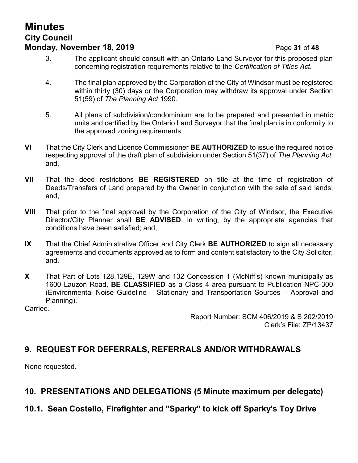# **Minutes City Council Monday, November 18, 2019 Page 31 of 48**

- 3. The applicant should consult with an Ontario Land Surveyor for this proposed plan concerning registration requirements relative to the *Certification of Titles Act.*
- 4. The final plan approved by the Corporation of the City of Windsor must be registered within thirty (30) days or the Corporation may withdraw its approval under Section 51(59) of *The Planning Act* 1990.
- 5. All plans of subdivision/condominium are to be prepared and presented in metric units and certified by the Ontario Land Surveyor that the final plan is in conformity to the approved zoning requirements.
- **VI** That the City Clerk and Licence Commissioner **BE AUTHORIZED** to issue the required notice respecting approval of the draft plan of subdivision under Section 51(37) of *The Planning Act*; and,
- **VII** That the deed restrictions **BE REGISTERED** on title at the time of registration of Deeds/Transfers of Land prepared by the Owner in conjunction with the sale of said lands; and,
- **VIII** That prior to the final approval by the Corporation of the City of Windsor, the Executive Director/City Planner shall **BE ADVISED**, in writing, by the appropriate agencies that conditions have been satisfied; and,
- **IX** That the Chief Administrative Officer and City Clerk **BE AUTHORIZED** to sign all necessary agreements and documents approved as to form and content satisfactory to the City Solicitor; and,
- **X** That Part of Lots 128,129E, 129W and 132 Concession 1 (McNiff's) known municipally as 1600 Lauzon Road, **BE CLASSIFIED** as a Class 4 area pursuant to Publication NPC-300 (Environmental Noise Guideline – Stationary and Transportation Sources – Approval and Planning).

Carried.

Report Number: SCM 406/2019 & S 202/2019 Clerk's File: ZP/13437

# **9. REQUEST FOR DEFERRALS, REFERRALS AND/OR WITHDRAWALS**

None requested.

# **10. PRESENTATIONS AND DELEGATIONS (5 Minute maximum per delegate)**

**10.1. Sean Costello, Firefighter and "Sparky" to kick off Sparky's Toy Drive**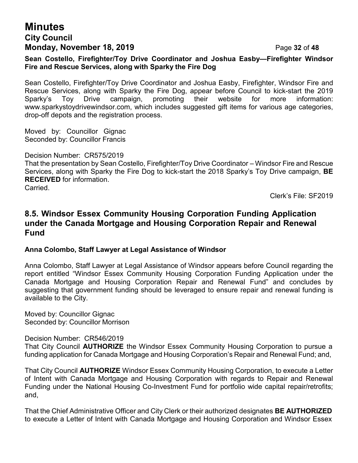# **Minutes City Council Monday, November 18, 2019** Page **32** of **48**

#### **Sean Costello, Firefighter/Toy Drive Coordinator and Joshua Easby—Firefighter Windsor Fire and Rescue Services, along with Sparky the Fire Dog**

Sean Costello, Firefighter/Toy Drive Coordinator and Joshua Easby, Firefighter, Windsor Fire and Rescue Services, along with Sparky the Fire Dog, appear before Council to kick-start the 2019 Sparky's Toy Drive campaign, promoting their website for more information: [www.sparkystoydrivewindsor.com, w](http://www.sparkystoydrivewindsor.com/)hich includes suggested gift items for various age categories, drop-off depots and the registration process.

Moved by: Councillor Gignac Seconded by: Councillor Francis

Decision Number: CR575/2019

That the presentation by Sean Costello, Firefighter/Toy Drive Coordinator – Windsor Fire and Rescue Services, along with Sparky the Fire Dog to kick-start the 2018 Sparky's Toy Drive campaign, **BE RECEIVED** for information.

Carried.

Clerk's File: SF2019

## **8.5. Windsor Essex Community Housing Corporation Funding Application under the Canada Mortgage and Housing Corporation Repair and Renewal Fund**

#### **Anna Colombo, Staff Lawyer at Legal Assistance of Windsor**

Anna Colombo, Staff Lawyer at Legal Assistance of Windsor appears before Council regarding the report entitled "Windsor Essex Community Housing Corporation Funding Application under the Canada Mortgage and Housing Corporation Repair and Renewal Fund" and concludes by suggesting that government funding should be leveraged to ensure repair and renewal funding is available to the City.

Moved by: Councillor Gignac Seconded by: Councillor Morrison

#### Decision Number: CR546/2019

That City Council **AUTHORIZE** the Windsor Essex Community Housing Corporation to pursue a funding application for Canada Mortgage and Housing Corporation's Repair and Renewal Fund; and,

That City Council **AUTHORIZE** Windsor Essex Community Housing Corporation, to execute a Letter of Intent with Canada Mortgage and Housing Corporation with regards to Repair and Renewal Funding under the National Housing Co-Investment Fund for portfolio wide capital repair/retrofits; and,

That the Chief Administrative Officer and City Clerk or their authorized designates **BE AUTHORIZED** to execute a Letter of Intent with Canada Mortgage and Housing Corporation and Windsor Essex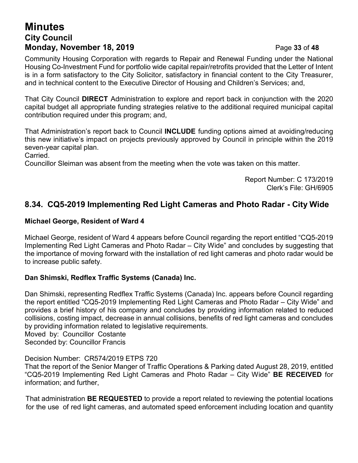# **Minutes City Council Monday, November 18, 2019** Page **33** of **48**

Community Housing Corporation with regards to Repair and Renewal Funding under the National Housing Co-Investment Fund for portfolio wide capital repair/retrofits provided that the Letter of Intent is in a form satisfactory to the City Solicitor, satisfactory in financial content to the City Treasurer, and in technical content to the Executive Director of Housing and Children's Services; and,

That City Council **DIRECT** Administration to explore and report back in conjunction with the 2020 capital budget all appropriate funding strategies relative to the additional required municipal capital contribution required under this program; and,

That Administration's report back to Council **INCLUDE** funding options aimed at avoiding/reducing this new initiative's impact on projects previously approved by Council in principle within the 2019 seven-year capital plan.

Carried.

Councillor Sleiman was absent from the meeting when the vote was taken on this matter.

Report Number: C 173/2019 Clerk's File: GH/6905

# **8.34. CQ5-2019 Implementing Red Light Cameras and Photo Radar - City Wide**

#### **Michael George, Resident of Ward 4**

Michael George, resident of Ward 4 appears before Council regarding the report entitled "CQ5-2019 Implementing Red Light Cameras and Photo Radar – City Wide" and concludes by suggesting that the importance of moving forward with the installation of red light cameras and photo radar would be to increase public safety.

#### **Dan Shimski, Redflex Traffic Systems (Canada) Inc.**

Dan Shimski, representing Redflex Traffic Systems (Canada) Inc. appears before Council regarding the report entitled "CQ5-2019 Implementing Red Light Cameras and Photo Radar – City Wide" and provides a brief history of his company and concludes by providing information related to reduced collisions, costing impact, decrease in annual collisions, benefits of red light cameras and concludes by providing information related to legislative requirements.

Moved by: Councillor Costante

Seconded by: Councillor Francis

#### Decision Number: CR574/2019 ETPS 720

That the report of the Senior Manger of Traffic Operations & Parking dated August 28, 2019, entitled "CQ5-2019 Implementing Red Light Cameras and Photo Radar – City Wide" **BE RECEIVED** for information; and further,

That administration **BE REQUESTED** to provide a report related to reviewing the potential locations for the use of red light cameras, and automated speed enforcement including location and quantity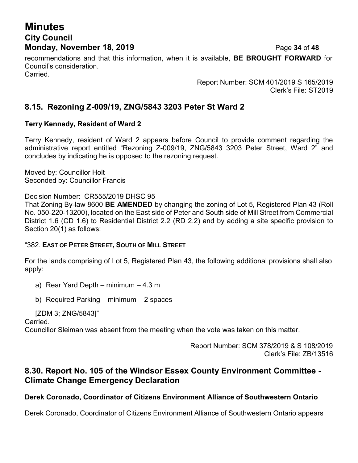# **Minutes City Council Monday, November 18, 2019 Page 34 of 48**

recommendations and that this information, when it is available, **BE BROUGHT FORWARD** for Council's consideration. Carried.

> Report Number: SCM 401/2019 S 165/2019 Clerk's File: ST2019

# **8.15. Rezoning Z-009/19, ZNG/5843 3203 Peter St Ward 2**

#### **Terry Kennedy, Resident of Ward 2**

Terry Kennedy, resident of Ward 2 appears before Council to provide comment regarding the administrative report entitled "Rezoning Z-009/19, ZNG/5843 3203 Peter Street, Ward 2" and concludes by indicating he is opposed to the rezoning request.

Moved by: Councillor Holt Seconded by: Councillor Francis

Decision Number: CR555/2019 DHSC 95

That Zoning By-law 8600 **BE AMENDED** by changing the zoning of Lot 5, Registered Plan 43 (Roll No. 050-220-13200), located on the East side of Peter and South side of Mill Street from Commercial District 1.6 (CD 1.6) to Residential District 2.2 (RD 2.2) and by adding a site specific provision to Section 20(1) as follows:

#### "382. **EAST OF PETER STREET, SOUTH OF MILL STREET**

For the lands comprising of Lot 5, Registered Plan 43, the following additional provisions shall also apply:

- a) Rear Yard Depth minimum 4.3 m
- b) Required Parking minimum 2 spaces
- [ZDM 3; ZNG/5843]"

Carried.

Councillor Sleiman was absent from the meeting when the vote was taken on this matter.

Report Number: SCM 378/2019 & S 108/2019 Clerk's File: ZB/13516

# **8.30. Report No. 105 of the Windsor Essex County Environment Committee - Climate Change Emergency Declaration**

#### **Derek Coronado, Coordinator of Citizens Environment Alliance of Southwestern Ontario**

Derek Coronado, Coordinator of Citizens Environment Alliance of Southwestern Ontario appears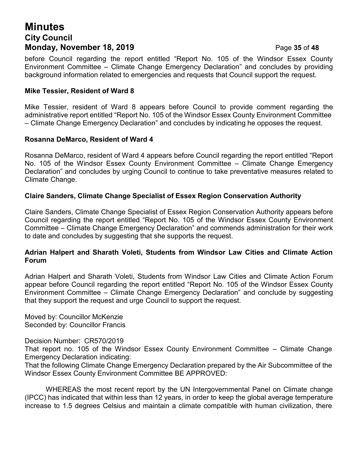# **Minutes City Council Monday, November 18, 2019** Page **35** of **48**

before Council regarding the report entitled "Report No. 105 of the Windsor Essex County Environment Committee – Climate Change Emergency Declaration" and concludes by providing background information related to emergencies and requests that Council support the request.

#### **Mike Tessier, Resident of Ward 8**

Mike Tessier, resident of Ward 8 appears before Council to provide comment regarding the administrative report entitled "Report No. 105 of the Windsor Essex County Environment Committee – Climate Change Emergency Declaration" and concludes by indicating he opposes the request.

#### **Rosanna DeMarco, Resident of Ward 4**

Rosanna DeMarco, resident of Ward 4 appears before Council regarding the report entitled "Report No. 105 of the Windsor Essex County Environment Committee – Climate Change Emergency Declaration" and concludes by urging Council to continue to take preventative measures related to Climate Change.

#### **Claire Sanders, Climate Change Specialist of Essex Region Conservation Authority**

Claire Sanders, Climate Change Specialist of Essex Region Conservation Authority appears before Council regarding the report entitled "Report No. 105 of the Windsor Essex County Environment Committee – Climate Change Emergency Declaration" and commends administration for their work to date and concludes by suggesting that she supports the request.

#### **Adrian Halpert and Sharath Voleti, Students from Windsor Law Cities and Climate Action Forum**

Adrian Halpert and Sharath Voleti, Students from Windsor Law Cities and Climate Action Forum appear before Council regarding the report entitled "Report No. 105 of the Windsor Essex County Environment Committee – Climate Change Emergency Declaration" and conclude by suggesting that they support the request and urge Council to support the request.

Moved by: Councillor McKenzie Seconded by: Councillor Francis

Decision Number: CR570/2019

That report no. 105 of the Windsor Essex County Environment Committee – Climate Change Emergency Declaration indicating:

That the following Climate Change Emergency Declaration prepared by the Air Subcommittee of the Windsor Essex County Environment Committee BE APPROVED:

WHEREAS the most recent report by the UN Intergovernmental Panel on Climate change (IPCC) has indicated that within less than 12 years, in order to keep the global average temperature increase to 1.5 degrees Celsius and maintain a climate compatible with human civilization, there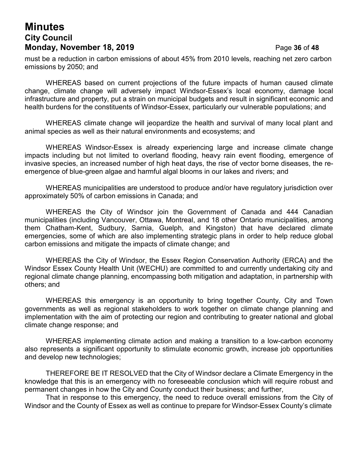# **Minutes City Council Monday, November 18, 2019** Page **36** of **48**

must be a reduction in carbon emissions of about 45% from 2010 levels, reaching net zero carbon emissions by 2050; and

WHEREAS based on current projections of the future impacts of human caused climate change, climate change will adversely impact Windsor-Essex's local economy, damage local infrastructure and property, put a strain on municipal budgets and result in significant economic and health burdens for the constituents of Windsor-Essex, particularly our vulnerable populations; and

WHEREAS climate change will jeopardize the health and survival of many local plant and animal species as well as their natural environments and ecosystems; and

WHEREAS Windsor-Essex is already experiencing large and increase climate change impacts including but not limited to overland flooding, heavy rain event flooding, emergence of invasive species, an increased number of high heat days, the rise of vector borne diseases, the reemergence of blue-green algae and harmful algal blooms in our lakes and rivers; and

WHEREAS municipalities are understood to produce and/or have regulatory jurisdiction over approximately 50% of carbon emissions in Canada; and

WHEREAS the City of Windsor join the Government of Canada and 444 Canadian municipalities (including Vancouver, Ottawa, Montreal, and 18 other Ontario municipalities, among them Chatham-Kent, Sudbury, Sarnia, Guelph, and Kingston) that have declared climate emergencies, some of which are also implementing strategic plans in order to help reduce global carbon emissions and mitigate the impacts of climate change; and

WHEREAS the City of Windsor, the Essex Region Conservation Authority (ERCA) and the Windsor Essex County Health Unit (WECHU) are committed to and currently undertaking city and regional climate change planning, encompassing both mitigation and adaptation, in partnership with others; and

WHEREAS this emergency is an opportunity to bring together County, City and Town governments as well as regional stakeholders to work together on climate change planning and implementation with the aim of protecting our region and contributing to greater national and global climate change response; and

WHEREAS implementing climate action and making a transition to a low-carbon economy also represents a significant opportunity to stimulate economic growth, increase job opportunities and develop new technologies;

THEREFORE BE IT RESOLVED that the City of Windsor declare a Climate Emergency in the knowledge that this is an emergency with no foreseeable conclusion which will require robust and permanent changes in how the City and County conduct their business; and further,

That in response to this emergency, the need to reduce overall emissions from the City of Windsor and the County of Essex as well as continue to prepare for Windsor-Essex County's climate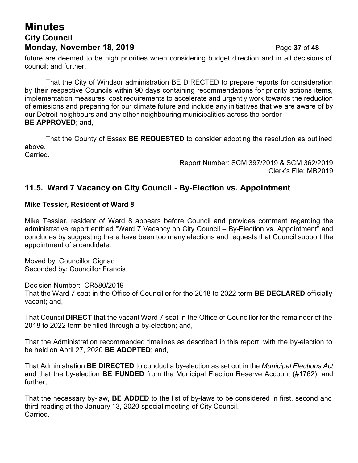# **Minutes City Council Monday, November 18, 2019** Page **37** of **48**

future are deemed to be high priorities when considering budget direction and in all decisions of council; and further,

That the City of Windsor administration BE DIRECTED to prepare reports for consideration by their respective Councils within 90 days containing recommendations for priority actions items, implementation measures, cost requirements to accelerate and urgently work towards the reduction of emissions and preparing for our climate future and include any initiatives that we are aware of by our Detroit neighbours and any other neighbouring municipalities across the border **BE APPROVED**; and,

That the County of Essex **BE REQUESTED** to consider adopting the resolution as outlined above.

Carried.

Report Number: SCM 397/2019 & SCM 362/2019 Clerk's File: MB2019

# **11.5. Ward 7 Vacancy on City Council - By-Election vs. Appointment**

#### **Mike Tessier, Resident of Ward 8**

Mike Tessier, resident of Ward 8 appears before Council and provides comment regarding the administrative report entitled "Ward 7 Vacancy on City Council – By-Election vs. Appointment" and concludes by suggesting there have been too many elections and requests that Council support the appointment of a candidate.

Moved by: Councillor Gignac Seconded by: Councillor Francis

Decision Number: CR580/2019

That the Ward 7 seat in the Office of Councillor for the 2018 to 2022 term **BE DECLARED** officially vacant; and,

That Council **DIRECT** that the vacant Ward 7 seat in the Office of Councillor for the remainder of the 2018 to 2022 term be filled through a by-election; and,

That the Administration recommended timelines as described in this report, with the by-election to be held on April 27, 2020 **BE ADOPTED**; and,

That Administration **BE DIRECTED** to conduct a by-election as set out in the *Municipal Elections Act* and that the by-election **BE FUNDED** from the Municipal Election Reserve Account (#1762); and further,

That the necessary by-law, **BE ADDED** to the list of by-laws to be considered in first, second and third reading at the January 13, 2020 special meeting of City Council. Carried.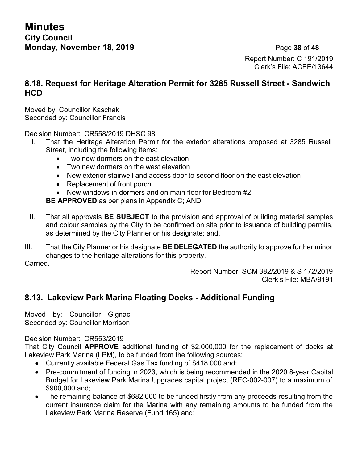**Minutes City Council Monday, November 18, 2019 Page 38 of 48** 

Report Number: C 191/2019 Clerk's File: ACEE/13644

## **8.18. Request for Heritage Alteration Permit for 3285 Russell Street - Sandwich HCD**

Moved by: Councillor Kaschak Seconded by: Councillor Francis

Decision Number: CR558/2019 DHSC 98

- I. That the Heritage Alteration Permit for the exterior alterations proposed at 3285 Russell Street, including the following items:
	- Two new dormers on the east elevation
	- Two new dormers on the west elevation
	- New exterior stairwell and access door to second floor on the east elevation
	- Replacement of front porch
	- New windows in dormers and on main floor for Bedroom #2

**BE APPROVED** as per plans in Appendix C; AND

II. That all approvals **BE SUBJECT** to the provision and approval of building material samples and colour samples by the City to be confirmed on site prior to issuance of building permits, as determined by the City Planner or his designate; and,

III. That the City Planner or his designate **BE DELEGATED** the authority to approve further minor changes to the heritage alterations for this property. Carried.

> Report Number: SCM 382/2019 & S 172/2019 Clerk's File: MBA/9191

## **8.13. Lakeview Park Marina Floating Docks - Additional Funding**

Moved by: Councillor Gignac Seconded by: Councillor Morrison

Decision Number: CR553/2019

That City Council **APPROVE** additional funding of \$2,000,000 for the replacement of docks at Lakeview Park Marina (LPM), to be funded from the following sources:

- Currently available Federal Gas Tax funding of \$418,000 and;
- Pre-commitment of funding in 2023, which is being recommended in the 2020 8-year Capital Budget for Lakeview Park Marina Upgrades capital project (REC-002-007) to a maximum of \$900,000 and;
- The remaining balance of \$682,000 to be funded firstly from any proceeds resulting from the current insurance claim for the Marina with any remaining amounts to be funded from the Lakeview Park Marina Reserve (Fund 165) and;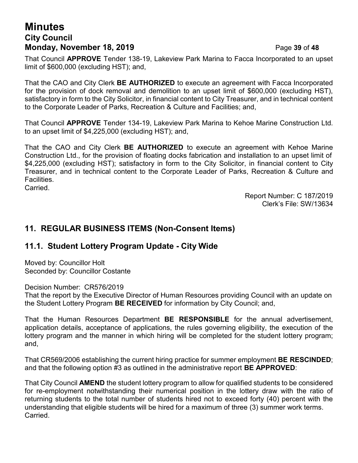# **Minutes City Council Monday, November 18, 2019** Page **39** of **48**

That Council **APPROVE** Tender 138-19, Lakeview Park Marina to Facca Incorporated to an upset limit of \$600,000 (excluding HST); and,

That the CAO and City Clerk **BE AUTHORIZED** to execute an agreement with Facca Incorporated for the provision of dock removal and demolition to an upset limit of \$600,000 (excluding HST), satisfactory in form to the City Solicitor, in financial content to City Treasurer, and in technical content to the Corporate Leader of Parks, Recreation & Culture and Facilities; and,

That Council **APPROVE** Tender 134-19, Lakeview Park Marina to Kehoe Marine Construction Ltd. to an upset limit of \$4,225,000 (excluding HST); and,

That the CAO and City Clerk **BE AUTHORIZED** to execute an agreement with Kehoe Marine Construction Ltd., for the provision of floating docks fabrication and installation to an upset limit of \$4,225,000 (excluding HST); satisfactory in form to the City Solicitor, in financial content to City Treasurer, and in technical content to the Corporate Leader of Parks, Recreation & Culture and Facilities.

Carried.

Report Number: C 187/2019 Clerk's File: SW/13634

## **11. REGULAR BUSINESS ITEMS (Non-Consent Items)**

#### **11.1. Student Lottery Program Update - City Wide**

Moved by: Councillor Holt Seconded by: Councillor Costante

Decision Number: CR576/2019

That the report by the Executive Director of Human Resources providing Council with an update on the Student Lottery Program **BE RECEIVED** for information by City Council; and,

That the Human Resources Department **BE RESPONSIBLE** for the annual advertisement, application details, acceptance of applications, the rules governing eligibility, the execution of the lottery program and the manner in which hiring will be completed for the student lottery program; and,

That CR569/2006 establishing the current hiring practice for summer employment **BE RESCINDED**; and that the following option #3 as outlined in the administrative report **BE APPROVED**:

That City Council **AMEND** the student lottery program to allow for qualified students to be considered for re-employment notwithstanding their numerical position in the lottery draw with the ratio of returning students to the total number of students hired not to exceed forty (40) percent with the understanding that eligible students will be hired for a maximum of three (3) summer work terms. Carried.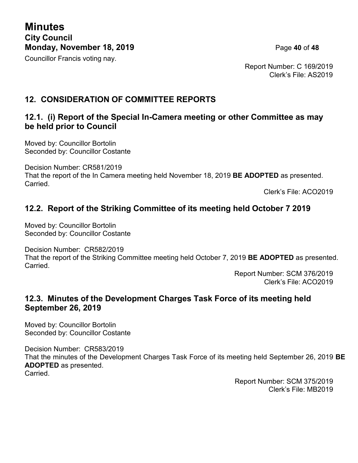**Minutes City Council Monday, November 18, 2019 Page 40 of 48** 

Councillor Francis voting nay.

Report Number: C 169/2019 Clerk's File: AS2019

# **12. CONSIDERATION OF COMMITTEE REPORTS**

## **12.1. (i) Report of the Special In-Camera meeting or other Committee as may be held prior to Council**

Moved by: Councillor Bortolin Seconded by: Councillor Costante

Decision Number: CR581/2019

That the report of the In Camera meeting held November 18, 2019 **BE ADOPTED** as presented. Carried.

Clerk's File: ACO2019

# **12.2. Report of the Striking Committee of its meeting held October 7 2019**

Moved by: Councillor Bortolin Seconded by: Councillor Costante

Decision Number: CR582/2019

That the report of the Striking Committee meeting held October 7, 2019 **BE ADOPTED** as presented. Carried.

Report Number: SCM 376/2019 Clerk's File: ACO2019

## **12.3. Minutes of the Development Charges Task Force of its meeting held September 26, 2019**

Moved by: Councillor Bortolin Seconded by: Councillor Costante

Decision Number: CR583/2019 That the minutes of the Development Charges Task Force of its meeting held September 26, 2019 **BE ADOPTED** as presented. Carried.

> Report Number: SCM 375/2019 Clerk's File: MB2019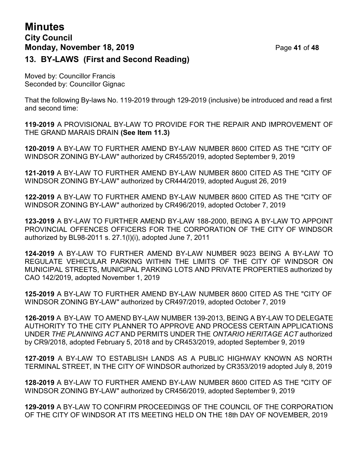# **Minutes City Council Monday, November 18, 2019** Page **41** of **48 13. BY-LAWS (First and Second Reading)**

Moved by: Councillor Francis Seconded by: Councillor Gignac

That the following By-laws No. 119-2019 through 129-2019 (inclusive) be introduced and read a first and second time:

**119-2019** A PROVISIONAL BY-LAW TO PROVIDE FOR THE REPAIR AND IMPROVEMENT OF THE GRAND MARAIS DRAIN **(See Item 11.3)**

**120-2019** A BY-LAW TO FURTHER AMEND BY-LAW NUMBER 8600 CITED AS THE "CITY OF WINDSOR ZONING BY-LAW" authorized by CR455/2019, adopted September 9, 2019

**121-2019** A BY-LAW TO FURTHER AMEND BY-LAW NUMBER 8600 CITED AS THE "CITY OF WINDSOR ZONING BY-LAW" authorized by CR444/2019, adopted August 26, 2019

**122-2019** A BY-LAW TO FURTHER AMEND BY-LAW NUMBER 8600 CITED AS THE "CITY OF WINDSOR ZONING BY-LAW" authorized by CR496/2019, adopted October 7, 2019

**123-2019** A BY-LAW TO FURTHER AMEND BY-LAW 188-2000, BEING A BY-LAW TO APPOINT PROVINCIAL OFFENCES OFFICERS FOR THE CORPORATION OF THE CITY OF WINDSOR authorized by BL98-2011 s. 27.1(l)(i), adopted June 7, 2011

**124-2019** A BY-LAW TO FURTHER AMEND BY-LAW NUMBER 9023 BEING A BY-LAW TO REGULATE VEHICULAR PARKING WITHIN THE LIMITS OF THE CITY OF WINDSOR ON MUNICIPAL STREETS, MUNICIPAL PARKING LOTS AND PRIVATE PROPERTIES authorized by CAO 142/2019, adopted November 1, 2019

**125-2019** A BY-LAW TO FURTHER AMEND BY-LAW NUMBER 8600 CITED AS THE "CITY OF WINDSOR ZONING BY-LAW" authorized by CR497/2019, adopted October 7, 2019

**126-2019** A BY-LAW TO AMEND BY-LAW NUMBER 139-2013, BEING A BY-LAW TO DELEGATE AUTHORITY TO THE CITY PLANNER TO APPROVE AND PROCESS CERTAIN APPLICATIONS UNDER *THE PLANNING ACT* AND PERMITS UNDER THE *ONTARIO HERITAGE ACT* authorized by CR9/2018, adopted February 5, 2018 and by CR453/2019, adopted September 9, 2019

**127-2019** A BY-LAW TO ESTABLISH LANDS AS A PUBLIC HIGHWAY KNOWN AS NORTH TERMINAL STREET, IN THE CITY OF WINDSOR authorized by CR353/2019 adopted July 8, 2019

**128-2019** A BY-LAW TO FURTHER AMEND BY-LAW NUMBER 8600 CITED AS THE "CITY OF WINDSOR ZONING BY-LAW" authorized by CR456/2019, adopted September 9, 2019

**129-2019** A BY-LAW TO CONFIRM PROCEEDINGS OF THE COUNCIL OF THE CORPORATION OF THE CITY OF WINDSOR AT ITS MEETING HELD ON THE 18th DAY OF NOVEMBER, 2019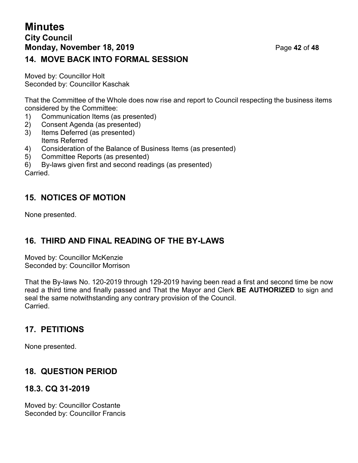# **Minutes City Council Monday, November 18, 2019** Page **42** of **48 14. MOVE BACK INTO FORMAL SESSION**

Moved by: Councillor Holt Seconded by: Councillor Kaschak

That the Committee of the Whole does now rise and report to Council respecting the business items considered by the Committee:

- 1) Communication Items (as presented)
- 2) Consent Agenda (as presented)
- 3) Items Deferred (as presented) Items Referred
- 4) Consideration of the Balance of Business Items (as presented)
- 5) Committee Reports (as presented)
- 6) By-laws given first and second readings (as presented) Carried.

# **15. NOTICES OF MOTION**

None presented.

# **16. THIRD AND FINAL READING OF THE BY-LAWS**

Moved by: Councillor McKenzie Seconded by: Councillor Morrison

That the By-laws No. 120-2019 through 129-2019 having been read a first and second time be now read a third time and finally passed and That the Mayor and Clerk **BE AUTHORIZED** to sign and seal the same notwithstanding any contrary provision of the Council. Carried.

# **17. PETITIONS**

None presented.

# **18. QUESTION PERIOD**

## **18.3. CQ 31-2019**

Moved by: Councillor Costante Seconded by: Councillor Francis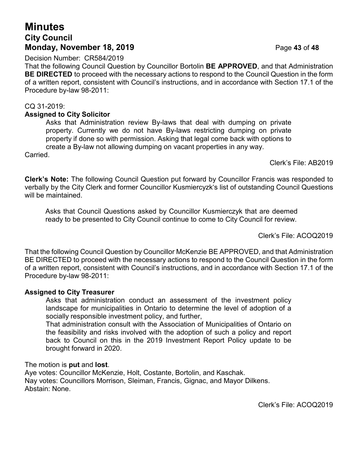#### Clerk's File: ACOQ2019

#### **Monday, November 18, 2019 Page 43 of 48** Decision Number: CR584/2019

That the following Council Question by Councillor Bortolin **BE APPROVED**, and that Administration **BE DIRECTED** to proceed with the necessary actions to respond to the Council Question in the form of a written report, consistent with Council's instructions, and in accordance with Section 17.1 of the Procedure by-law 98-2011:

#### CQ 31-2019:

**Minutes**

**City Council**

#### **Assigned to City Solicitor**

Asks that Administration review By-laws that deal with dumping on private property. Currently we do not have By-laws restricting dumping on private property if done so with permission. Asking that legal come back with options to create a By-law not allowing dumping on vacant properties in any way.

Carried.

Clerk's File: AB2019

**Clerk's Note:** The following Council Question put forward by Councillor Francis was responded to verbally by the City Clerk and former Councillor Kusmiercyzk's list of outstanding Council Questions will be maintained.

Asks that Council Questions asked by Councillor Kusmierczyk that are deemed ready to be presented to City Council continue to come to City Council for review.

Clerk's File: ACOQ2019

That the following Council Question by Councillor McKenzie BE APPROVED, and that Administration BE DIRECTED to proceed with the necessary actions to respond to the Council Question in the form of a written report, consistent with Council's instructions, and in accordance with Section 17.1 of the Procedure by-law 98-2011:

#### **Assigned to City Treasurer**

Asks that administration conduct an assessment of the investment policy landscape for municipalities in Ontario to determine the level of adoption of a socially responsible investment policy, and further,

That administration consult with the Association of Municipalities of Ontario on the feasibility and risks involved with the adoption of such a policy and report back to Council on this in the 2019 Investment Report Policy update to be brought forward in 2020.

The motion is **put** and **lost**.

Aye votes: Councillor McKenzie, Holt, Costante, Bortolin, and Kaschak. Nay votes: Councillors Morrison, Sleiman, Francis, Gignac, and Mayor Dilkens. Abstain: None.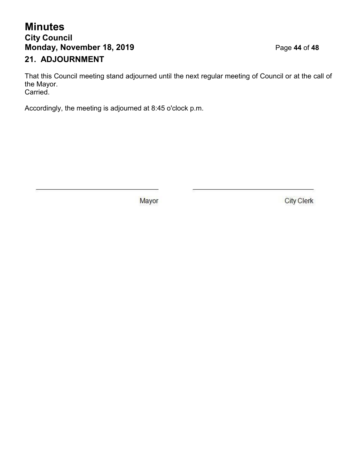# **Minutes City Council Monday, November 18, 2019** Page **44** of **48 21. ADJOURNMENT**

That this Council meeting stand adjourned until the next regular meeting of Council or at the call of the Mayor. Carried.

Accordingly, the meeting is adjourned at 8:45 o'clock p.m.

Mayor

**City Clerk**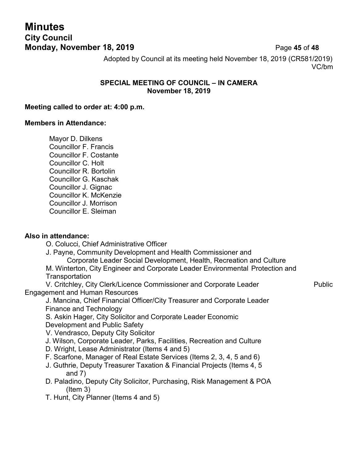# **Minutes City Council Monday, November 18, 2019 Page 45 of 48**

Adopted by Council at its meeting held November 18, 2019 (CR581/2019) VC/bm

#### **SPECIAL MEETING OF COUNCIL – IN CAMERA November 18, 2019**

#### **Meeting called to order at: 4:00 p.m.**

#### **Members in Attendance:**

Mayor D. Dilkens Councillor F. Francis Councillor F. Costante Councillor C. Holt Councillor R. Bortolin Councillor G. Kaschak Councillor J. Gignac Councillor K. McKenzie Councillor J. Morrison Councillor E. Sleiman

#### **Also in attendance:**

O. Colucci, Chief Administrative Officer

J. Payne, Community Development and Health Commissioner and

Corporate Leader Social Development, Health, Recreation and Culture M. Winterton, City Engineer and Corporate Leader Environmental Protection and **Transportation** 

V. Critchley, City Clerk/Licence Commissioner and Corporate Leader Public Engagement and Human Resources

J. Mancina, Chief Financial Officer/City Treasurer and Corporate Leader Finance and Technology

S. Askin Hager, City Solicitor and Corporate Leader Economic Development and Public Safety

V. Vendrasco, Deputy City Solicitor

J. Wilson, Corporate Leader, Parks, Facilities, Recreation and Culture

D. Wright, Lease Administrator (Items 4 and 5)

F. Scarfone, Manager of Real Estate Services (Items 2, 3, 4, 5 and 6)

- J. Guthrie, Deputy Treasurer Taxation & Financial Projects (Items 4, 5 and 7)
- D. Paladino, Deputy City Solicitor, Purchasing, Risk Management & POA (Item 3)
- T. Hunt, City Planner (Items 4 and 5)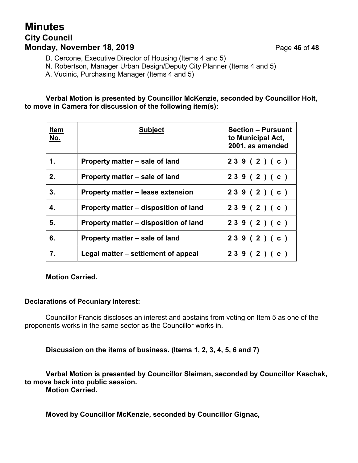# **Minutes City Council Monday, November 18, 2019** Page **46** of **48**

D. Cercone, Executive Director of Housing (Items 4 and 5)

N. Robertson, Manager Urban Design/Deputy City Planner (Items 4 and 5)

A. Vucinic, Purchasing Manager (Items 4 and 5)

**Verbal Motion is presented by Councillor McKenzie, seconded by Councillor Holt, to move in Camera for discussion of the following item(s):**

| <b>Item</b><br>No. | <b>Subject</b>                        | <b>Section - Pursuant</b><br>to Municipal Act,<br>2001, as amended |
|--------------------|---------------------------------------|--------------------------------------------------------------------|
| 1.                 | Property matter – sale of land        | 239 (2) (c)                                                        |
| 2.                 | Property matter – sale of land        | 239(2)(c)                                                          |
| 3.                 | Property matter - lease extension     | 239 (2) (c)                                                        |
| 4.                 | Property matter – disposition of land | 239(2)(c)                                                          |
| 5.                 | Property matter - disposition of land | 239(2)(c)                                                          |
| 6.                 | Property matter – sale of land        | 239 (2) (c)                                                        |
| 7.                 | Legal matter – settlement of appeal   | 239 (2) (e)                                                        |

**Motion Carried.**

#### **Declarations of Pecuniary Interest:**

Councillor Francis discloses an interest and abstains from voting on Item 5 as one of the proponents works in the same sector as the Councillor works in.

**Discussion on the items of business. (Items 1, 2, 3, 4, 5, 6 and 7)**

**Verbal Motion is presented by Councillor Sleiman, seconded by Councillor Kaschak, to move back into public session. Motion Carried.**

**Moved by Councillor McKenzie, seconded by Councillor Gignac,**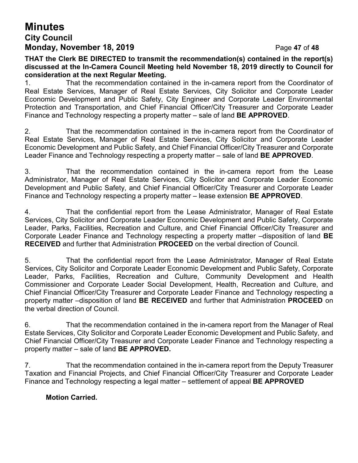# **Minutes**

# **City Council Monday, November 18, 2019** Page **47** of **48**

**THAT the Clerk BE DIRECTED to transmit the recommendation(s) contained in the report(s) discussed at the In-Camera Council Meeting held November 18, 2019 directly to Council for consideration at the next Regular Meeting.**

1. That the recommendation contained in the in-camera report from the Coordinator of Real Estate Services, Manager of Real Estate Services, City Solicitor and Corporate Leader Economic Development and Public Safety, City Engineer and Corporate Leader Environmental Protection and Transportation, and Chief Financial Officer/City Treasurer and Corporate Leader Finance and Technology respecting a property matter – sale of land **BE APPROVED**.

2. That the recommendation contained in the in-camera report from the Coordinator of Real Estate Services, Manager of Real Estate Services, City Solicitor and Corporate Leader Economic Development and Public Safety, and Chief Financial Officer/City Treasurer and Corporate Leader Finance and Technology respecting a property matter – sale of land **BE APPROVED**.

3. That the recommendation contained in the in-camera report from the Lease Administrator, Manager of Real Estate Services, City Solicitor and Corporate Leader Economic Development and Public Safety, and Chief Financial Officer/City Treasurer and Corporate Leader Finance and Technology respecting a property matter – lease extension **BE APPROVED**.

4. That the confidential report from the Lease Administrator, Manager of Real Estate Services, City Solicitor and Corporate Leader Economic Development and Public Safety, Corporate Leader, Parks, Facilities, Recreation and Culture, and Chief Financial Officer/City Treasurer and Corporate Leader Finance and Technology respecting a property matter –disposition of land **BE RECEIVED** and further that Administration **PROCEED** on the verbal direction of Council.

5. That the confidential report from the Lease Administrator, Manager of Real Estate Services, City Solicitor and Corporate Leader Economic Development and Public Safety, Corporate Leader, Parks, Facilities, Recreation and Culture, Community Development and Health Commissioner and Corporate Leader Social Development, Health, Recreation and Culture, and Chief Financial Officer/City Treasurer and Corporate Leader Finance and Technology respecting a property matter –disposition of land **BE RECEIVED** and further that Administration **PROCEED** on the verbal direction of Council.

6. That the recommendation contained in the in-camera report from the Manager of Real Estate Services, City Solicitor and Corporate Leader Economic Development and Public Safety, and Chief Financial Officer/City Treasurer and Corporate Leader Finance and Technology respecting a property matter – sale of land **BE APPROVED.**

7. That the recommendation contained in the in-camera report from the Deputy Treasurer Taxation and Financial Projects, and Chief Financial Officer/City Treasurer and Corporate Leader Finance and Technology respecting a legal matter – settlement of appeal **BE APPROVED**

#### **Motion Carried.**